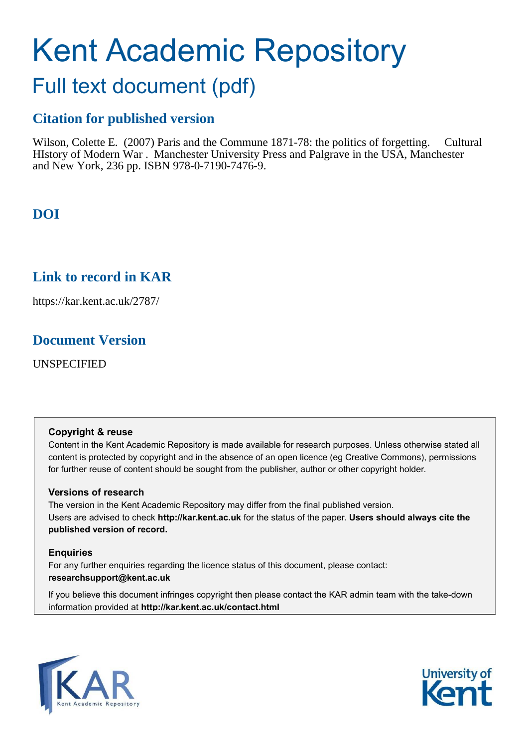# Kent Academic Repository

## Full text document (pdf)

### **Citation for published version**

Wilson, Colette E. (2007) Paris and the Commune 1871-78: the politics of forgetting. Cultural HIstory of Modern War . Manchester University Press and Palgrave in the USA, Manchester and New York, 236 pp. ISBN 978-0-7190-7476-9.

### **DOI**

### **Link to record in KAR**

https://kar.kent.ac.uk/2787/

### **Document Version**

UNSPECIFIED

#### **Copyright & reuse**

Content in the Kent Academic Repository is made available for research purposes. Unless otherwise stated all content is protected by copyright and in the absence of an open licence (eg Creative Commons), permissions for further reuse of content should be sought from the publisher, author or other copyright holder.

#### **Versions of research**

The version in the Kent Academic Repository may differ from the final published version. Users are advised to check **http://kar.kent.ac.uk** for the status of the paper. **Users should always cite the published version of record.**

#### **Enquiries**

For any further enquiries regarding the licence status of this document, please contact: **researchsupport@kent.ac.uk**

If you believe this document infringes copyright then please contact the KAR admin team with the take-down information provided at **http://kar.kent.ac.uk/contact.html**



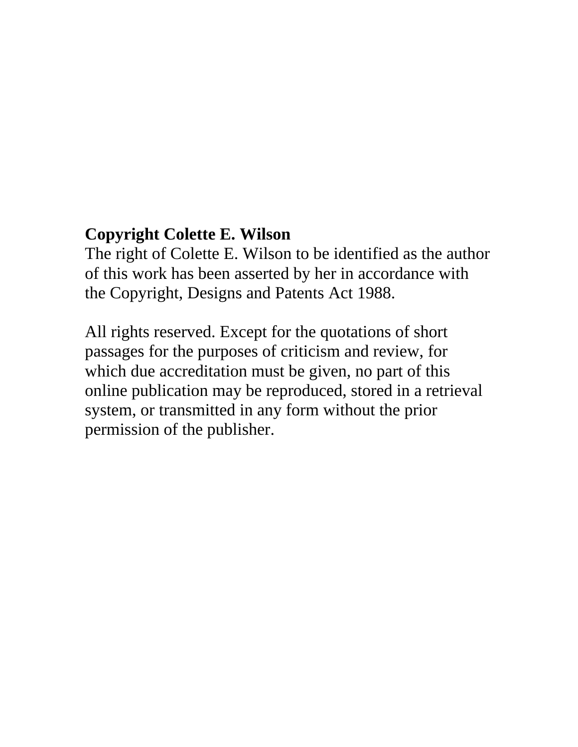### **Copyright Colette E. Wilson**

The right of Colette E. Wilson to be identified as the author of this work has been asserted by her in accordance with the Copyright, Designs and Patents Act 1988.

All rights reserved. Except for the quotations of short passages for the purposes of criticism and review, for which due accreditation must be given, no part of this online publication may be reproduced, stored in a retrieval system, or transmitted in any form without the prior permission of the publisher.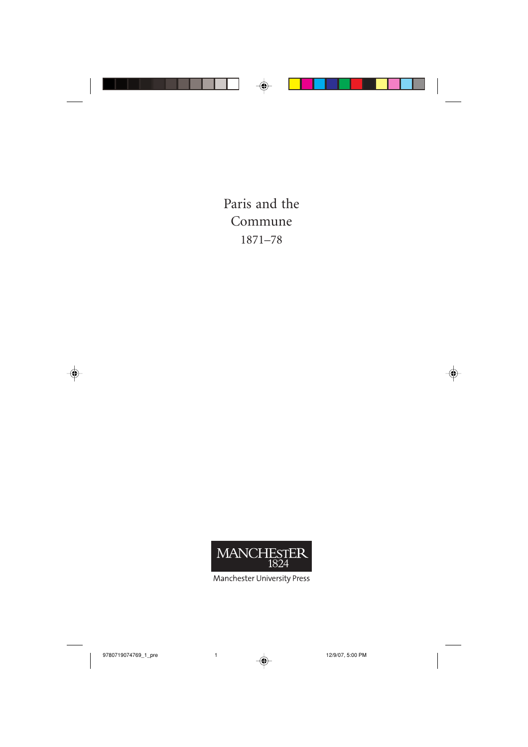

Paris and the Commune 1871–78







Manchester University Press

9780719074769\_1\_pre 1 1 1 1 1 2/9/07, 5:00 PM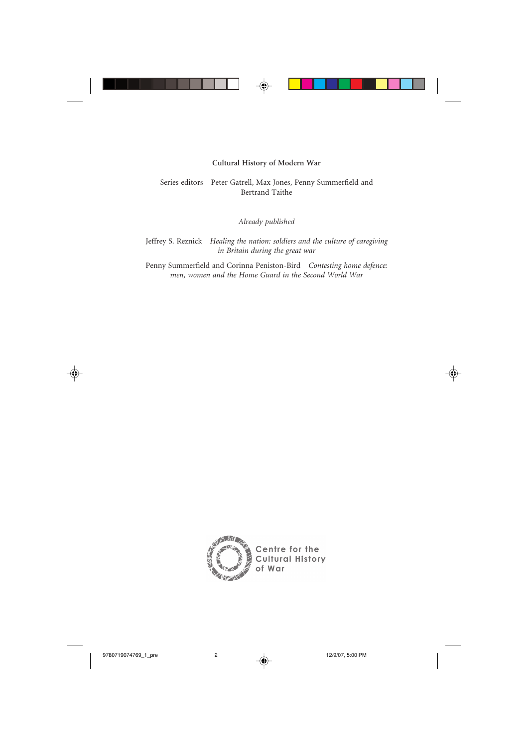

#### **Cultural History of Modern War**

Series editors Peter Gatrell, Max Jones, Penny Summerfield and Bertrand Taithe

*Already published*

Jeffrey S. Reznick *Healing the nation: soldiers and the culture of caregiving in Britain during the great war*

Penny Summerfield and Corinna Peniston-Bird *Contesting home defence: men, women and the Home Guard in the Second World War*



9780719074769\_1\_pre 2 12/9/07, 5:00 PM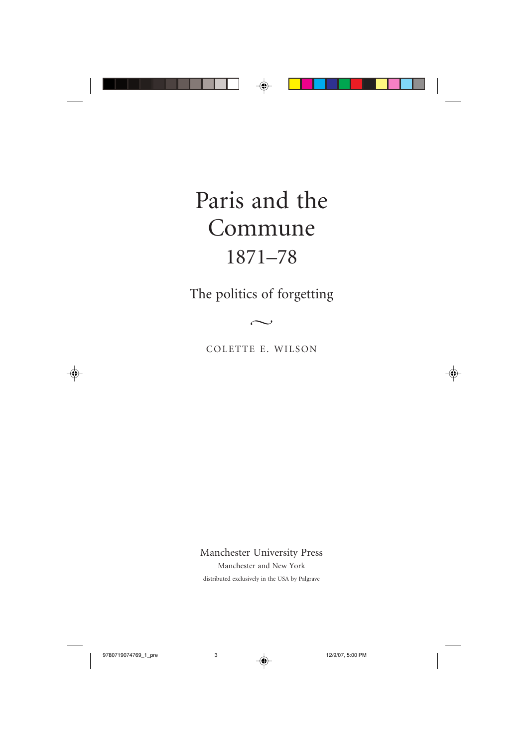

# Paris and the Commune 1871–78

The politics of forgetting

COLETTE E. WILSON

 $\sim$ 

Manchester University Press Manchester and New York distributed exclusively in the USA by Palgrave

9780719074769\_1\_pre 3 12/9/07, 5:00 PM

◈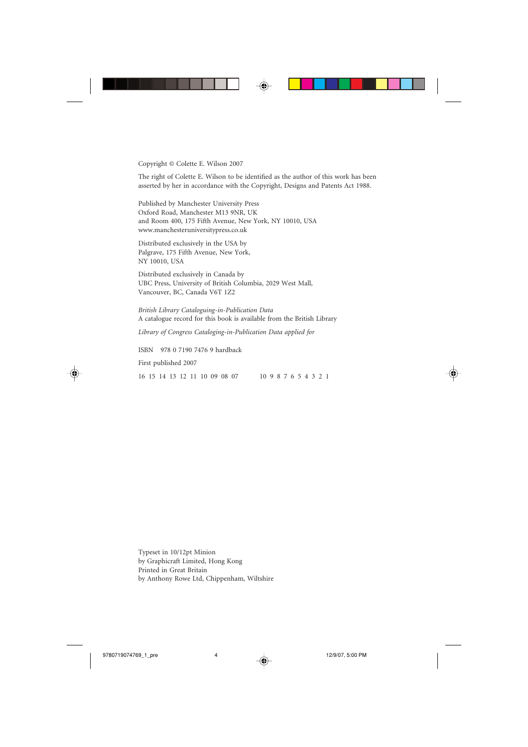

Copyright © Colette E. Wilson 2007

The right of Colette E. Wilson to be identified as the author of this work has been asserted by her in accordance with the Copyright, Designs and Patents Act 1988.

Published by Manchester University Press Oxford Road, Manchester M13 9NR, UK and Room 400, 175 Fifth Avenue, New York, NY 10010, USA www.manchesteruniversitypress.co.uk

Distributed exclusively in the USA by Palgrave, 175 Fifth Avenue, New York, NY 10010, USA

Distributed exclusively in Canada by UBC Press, University of British Columbia, 2029 West Mall, Vancouver, BC, Canada V6T 1Z2

*British Library Cataloguing-in-Publication Data* A catalogue record for this book is available from the British Library

*Library of Congress Cataloging-in-Publication Data applied for*

ISBN 978 0 7190 7476 9 hardback

First published 2007

16 15 14 13 12 11 10 09 08 07 10 9 8 7 6 5 4 3 2 1

Typeset in 10/12pt Minion by Graphicraft Limited, Hong Kong Printed in Great Britain by Anthony Rowe Ltd, Chippenham, Wiltshire

9780719074769\_1\_pre 4 12/9/07, 5:00 PM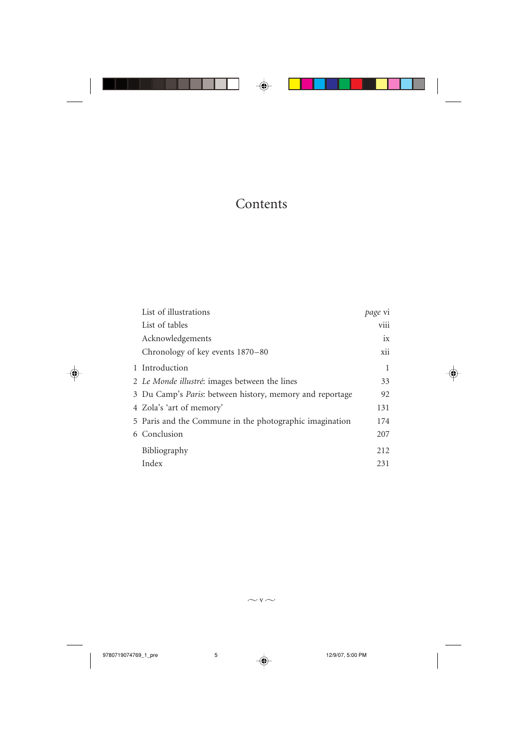

### Contents

|    | List of illustrations                                    | page vi         |
|----|----------------------------------------------------------|-----------------|
|    | List of tables                                           | viii            |
|    | Acknowledgements                                         | $\overline{1}x$ |
|    | Chronology of key events 1870-80                         | xii             |
|    | 1 Introduction                                           |                 |
|    | 2 Le Monde illustré: images between the lines            | 33              |
|    | 3 Du Camp's Paris: between history, memory and reportage | 92              |
|    | 4 Zola's 'art of memory'                                 | 131             |
|    | 5 Paris and the Commune in the photographic imagination  | 174             |
| 6. | Conclusion                                               | 207             |
|    | <b>Bibliography</b>                                      | 212             |
|    | Index                                                    | 231             |

 $\bigoplus$ 

 $\sim$  v $\sim$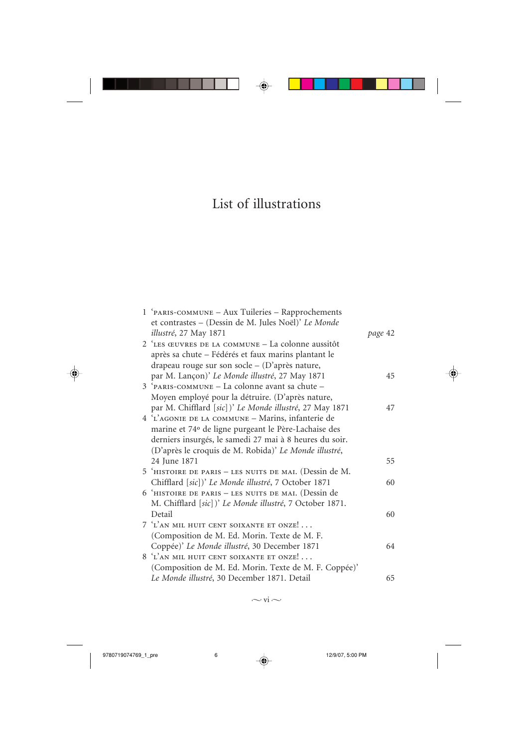

### List of illustrations

| 1 'PARIS-COMMUNE - Aux Tuileries - Rapprochements<br>et contrastes - (Dessin de M. Jules Noël)' Le Monde |         |
|----------------------------------------------------------------------------------------------------------|---------|
| illustré, 27 May 1871                                                                                    | page 42 |
| 2 'LES ŒUVRES DE LA COMMUNE - La colonne aussitôt                                                        |         |
| après sa chute – Fédérés et faux marins plantant le                                                      |         |
| drapeau rouge sur son socle $-$ (D'après nature,                                                         |         |
| par M. Lançon)' Le Monde illustré, 27 May 1871                                                           | 45      |
| 3 'PARIS-COMMUNE – La colonne avant sa chute –                                                           |         |
| Moyen employé pour la détruire. (D'après nature,                                                         |         |
| par M. Chifflard [sic])' Le Monde illustré, 27 May 1871                                                  | 47      |
| 4 'L'AGONIE DE LA COMMUNE – Marins, infanterie de                                                        |         |
| marine et 74° de ligne purgeant le Père-Lachaise des                                                     |         |
| derniers insurgés, le samedi 27 mai à 8 heures du soir.                                                  |         |
| (D'après le croquis de M. Robida)' Le Monde illustré,                                                    |         |
| 24 June 1871                                                                                             | 55      |
| 5 'HISTOIRE DE PARIS - LES NUITS DE MAI. (Dessin de M.                                                   |         |
| Chifflard [sic])' Le Monde illustré, 7 October 1871                                                      | 60      |
| 6 'HISTOIRE DE PARIS – LES NUITS DE MAI. (Dessin de                                                      |         |
| M. Chifflard [sic])' Le Monde illustré, 7 October 1871.                                                  |         |
| Detail                                                                                                   | 60      |
| 7 'L'AN MIL HUIT CENT SOIXANTE ET ONZE!                                                                  |         |
| (Composition de M. Ed. Morin. Texte de M. F.                                                             |         |
| Coppée)' Le Monde illustré, 30 December 1871                                                             | 64      |
| 8 'L'AN MIL HUIT CENT SOIXANTE ET ONZE!                                                                  |         |
| (Composition de M. Ed. Morin. Texte de M. F. Coppée)'                                                    |         |
| Le Monde illustré, 30 December 1871. Detail                                                              | 65      |
|                                                                                                          |         |

 $\sim$ vi $\sim$ 

 $\bigoplus$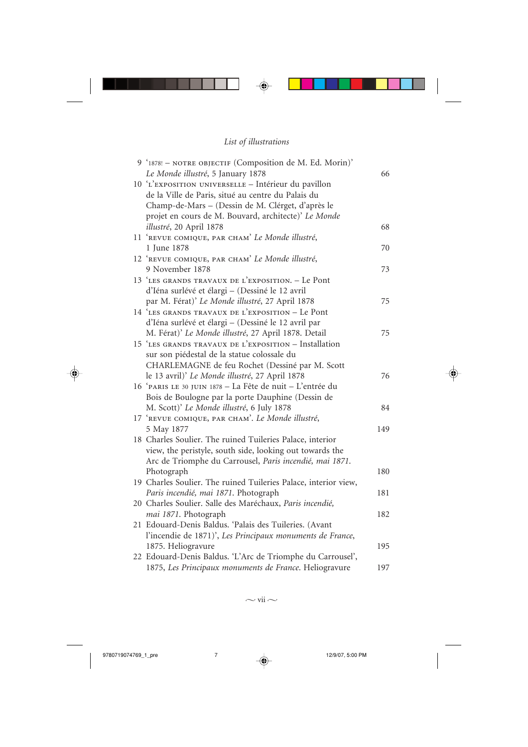#### $\begin{picture}(120,10) \put(0,0){\line(1,0){10}} \put(15,0){\line(1,0){10}} \put(15,0){\line(1,0){10}} \put(15,0){\line(1,0){10}} \put(15,0){\line(1,0){10}} \put(15,0){\line(1,0){10}} \put(15,0){\line(1,0){10}} \put(15,0){\line(1,0){10}} \put(15,0){\line(1,0){10}} \put(15,0){\line(1,0){10}} \put(15,0){\line(1,0){10}} \put(15,0){\line($ and the state of the state - 1 H - 1

#### *List of illustrations*

| 9 '1878! - NOTRE OBJECTIF (Composition de M. Ed. Morin)'        |     |
|-----------------------------------------------------------------|-----|
| Le Monde illustré, 5 January 1878                               | 66  |
| 10 'L'EXPOSITION UNIVERSELLE - Intérieur du pavillon            |     |
| de la Ville de Paris, situé au centre du Palais du              |     |
| Champ-de-Mars - (Dessin de M. Clérget, d'après le               |     |
| projet en cours de M. Bouvard, architecte)' Le Monde            |     |
| illustré, 20 April 1878                                         | 68  |
| 11 'REVUE COMIQUE, PAR CHAM' Le Monde illustré,                 |     |
| 1 June 1878                                                     | 70  |
| 12 'REVUE COMIQUE, PAR CHAM' Le Monde illustré,                 |     |
| 9 November 1878                                                 | 73  |
| 13 'LES GRANDS TRAVAUX DE L'EXPOSITION. - Le Pont               |     |
| d'Iéna surlévé et élargi - (Dessiné le 12 avril                 |     |
| par M. Férat)' Le Monde illustré, 27 April 1878                 | 75  |
| 14 'LES GRANDS TRAVAUX DE L'EXPOSITION - Le Pont                |     |
| d'Iéna surlévé et élargi - (Dessiné le 12 avril par             |     |
| M. Férat)' Le Monde illustré, 27 April 1878. Detail             | 75  |
| 15 'LES GRANDS TRAVAUX DE L'EXPOSITION - Installation           |     |
| sur son piédestal de la statue colossale du                     |     |
| CHARLEMAGNE de feu Rochet (Dessiné par M. Scott                 |     |
| le 13 avril)' Le Monde illustré, 27 April 1878                  | 76  |
| 16 'PARIS LE 30 JUIN 1878 - La Fête de nuit - L'entrée du       |     |
| Bois de Boulogne par la porte Dauphine (Dessin de               |     |
| M. Scott)' Le Monde illustré, 6 July 1878                       | 84  |
| 17 'REVUE COMIQUE, PAR CHAM'. Le Monde illustré,                |     |
| 5 May 1877                                                      | 149 |
| 18 Charles Soulier. The ruined Tuileries Palace, interior       |     |
| view, the peristyle, south side, looking out towards the        |     |
| Arc de Triomphe du Carrousel, Paris incendié, mai 1871.         |     |
| Photograph                                                      | 180 |
| 19 Charles Soulier. The ruined Tuileries Palace, interior view, |     |
| Paris incendié, mai 1871. Photograph                            | 181 |
| 20 Charles Soulier. Salle des Maréchaux, Paris incendié,        |     |
| mai 1871. Photograph                                            | 182 |
| 21 Edouard-Denis Baldus. 'Palais des Tuileries. (Avant          |     |
| l'incendie de 1871)', Les Principaux monuments de France,       |     |
| 1875. Heliogravure                                              | 195 |
| 22 Edouard-Denis Baldus. 'L'Arc de Triomphe du Carrousel',      |     |
| 1875, Les Principaux monuments de France. Heliogravure          | 197 |

 $\sim$  vii  $\sim$ 

 $\bigoplus$ 

⊕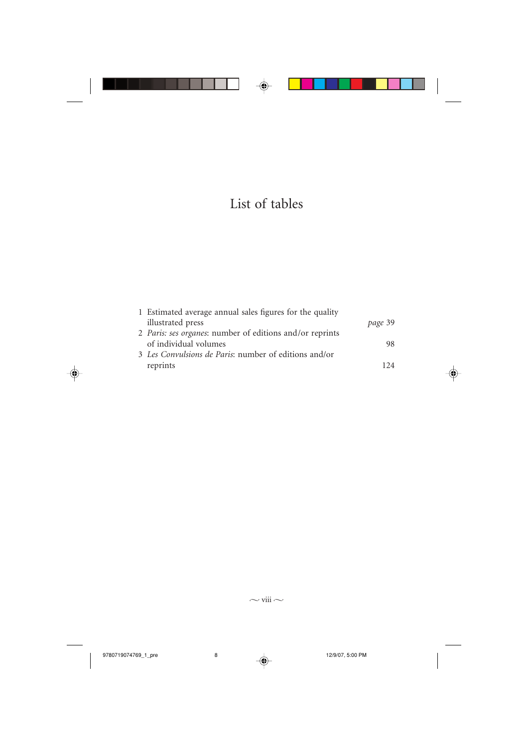

### List of tables

| 1 Estimated average annual sales figures for the quality<br>illustrated press | page 39 |  |
|-------------------------------------------------------------------------------|---------|--|
| 2 Paris: ses organes: number of editions and/or reprints                      |         |  |
| of individual volumes                                                         | 98      |  |
| 3 Les Convulsions de Paris: number of editions and/or<br>reprints             | 124     |  |



 $\bigoplus$ 

◈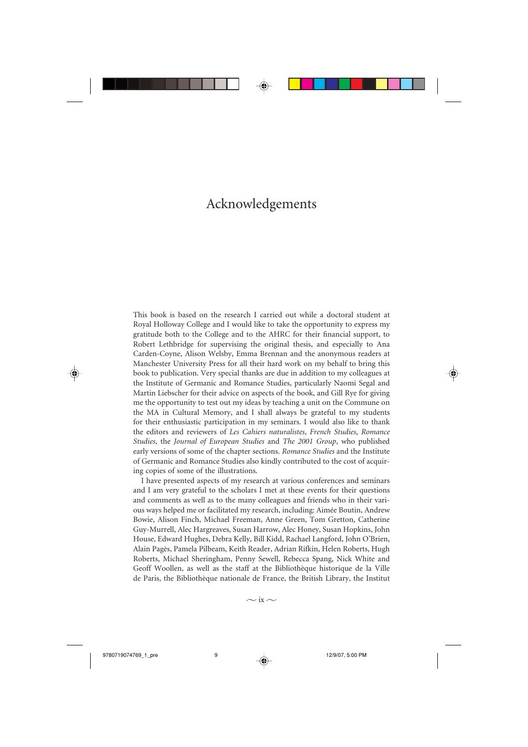

### Acknowledgements

This book is based on the research I carried out while a doctoral student at Royal Holloway College and I would like to take the opportunity to express my gratitude both to the College and to the AHRC for their financial support, to Robert Lethbridge for supervising the original thesis, and especially to Ana Carden-Coyne, Alison Welsby, Emma Brennan and the anonymous readers at Manchester University Press for all their hard work on my behalf to bring this book to publication. Very special thanks are due in addition to my colleagues at the Institute of Germanic and Romance Studies, particularly Naomi Segal and Martin Liebscher for their advice on aspects of the book, and Gill Rye for giving me the opportunity to test out my ideas by teaching a unit on the Commune on the MA in Cultural Memory, and I shall always be grateful to my students for their enthusiastic participation in my seminars. I would also like to thank the editors and reviewers of *Les Cahiers naturalistes*, *French Studies*, *Romance Studies*, the *Journal of European Studies* and *The 2001 Group*, who published early versions of some of the chapter sections. *Romance Studies* and the Institute of Germanic and Romance Studies also kindly contributed to the cost of acquiring copies of some of the illustrations.

I have presented aspects of my research at various conferences and seminars and I am very grateful to the scholars I met at these events for their questions and comments as well as to the many colleagues and friends who in their various ways helped me or facilitated my research, including: Aimée Boutin, Andrew Bowie, Alison Finch, Michael Freeman, Anne Green, Tom Gretton, Catherine Guy-Murrell, Alec Hargreaves, Susan Harrow, Alec Honey, Susan Hopkins, John House, Edward Hughes, Debra Kelly, Bill Kidd, Rachael Langford, John O'Brien, Alain Pagès, Pamela Pilbeam, Keith Reader, Adrian Rifkin, Helen Roberts, Hugh Roberts, Michael Sheringham, Penny Sewell, Rebecca Spang, Nick White and Geoff Woollen, as well as the staff at the Bibliothèque historique de la Ville de Paris, the Bibliothèque nationale de France, the British Library, the Institut

 $\sim$ ix $\sim$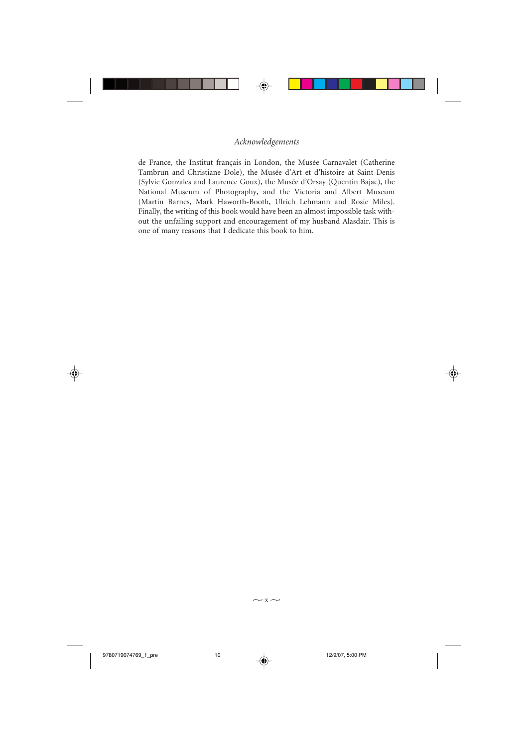

#### *Acknowledgements*

de France, the Institut français in London, the Musée Carnavalet (Catherine Tambrun and Christiane Dole), the Musée d'Art et d'histoire at Saint-Denis (Sylvie Gonzales and Laurence Goux), the Musée d'Orsay (Quentin Bajac), the National Museum of Photography, and the Victoria and Albert Museum (Martin Barnes, Mark Haworth-Booth, Ulrich Lehmann and Rosie Miles). Finally, the writing of this book would have been an almost impossible task without the unfailing support and encouragement of my husband Alasdair. This is one of many reasons that I dedicate this book to him.

 $\sim$  x  $\sim$ 

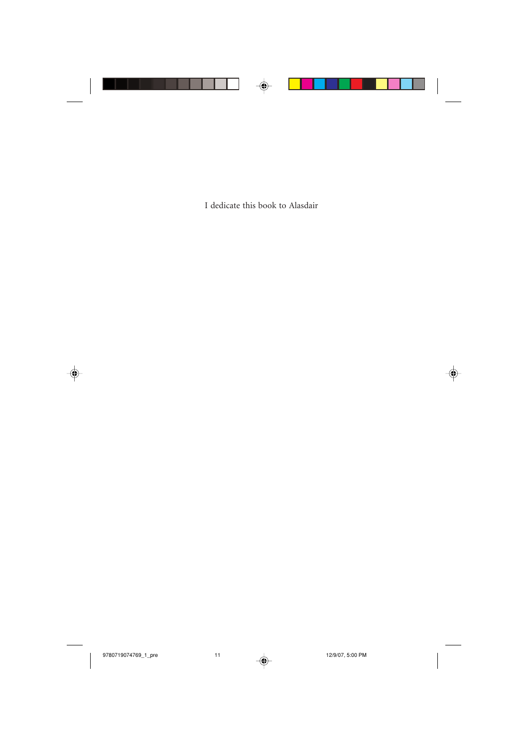

I dedicate this book to Alasdair





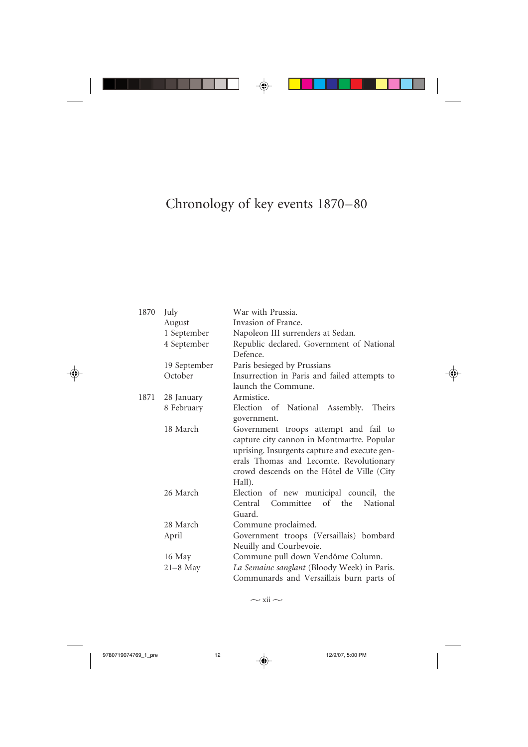

### Chronology of key events 1870–80

| 1870 | July         | War with Prussia.                             |  |  |
|------|--------------|-----------------------------------------------|--|--|
|      | August       | Invasion of France.                           |  |  |
|      | 1 September  | Napoleon III surrenders at Sedan.             |  |  |
|      | 4 September  | Republic declared. Government of National     |  |  |
|      |              | Defence.                                      |  |  |
|      | 19 September | Paris besieged by Prussians                   |  |  |
|      | October      | Insurrection in Paris and failed attempts to  |  |  |
|      |              | launch the Commune.                           |  |  |
| 1871 | 28 January   | Armistice.                                    |  |  |
|      | 8 February   | Election of National Assembly.<br>Theirs      |  |  |
|      |              | government.                                   |  |  |
|      | 18 March     | Government troops attempt and fail to         |  |  |
|      |              | capture city cannon in Montmartre. Popular    |  |  |
|      |              | uprising. Insurgents capture and execute gen- |  |  |
|      |              | erals Thomas and Lecomte. Revolutionary       |  |  |
|      |              | crowd descends on the Hôtel de Ville (City    |  |  |
|      |              | Hall).                                        |  |  |
|      | 26 March     | Election of new municipal council, the        |  |  |
|      |              | Central Committee of the<br>National          |  |  |
|      |              | Guard.                                        |  |  |
|      | 28 March     | Commune proclaimed.                           |  |  |
|      | April        | Government troops (Versaillais) bombard       |  |  |
|      |              | Neuilly and Courbevoie.                       |  |  |
|      | 16 May       | Commune pull down Vendôme Column.             |  |  |
|      | $21-8$ May   | La Semaine sanglant (Bloody Week) in Paris.   |  |  |
|      |              |                                               |  |  |
|      |              | Communards and Versaillais burn parts of      |  |  |

 $\sim$ xii $\sim$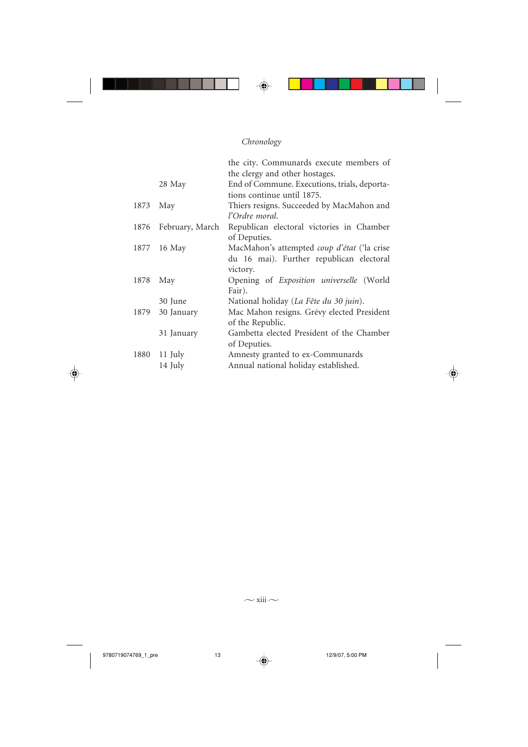

#### *Chronology*

|      |                 | the city. Communards execute members of      |
|------|-----------------|----------------------------------------------|
|      |                 | the clergy and other hostages.               |
|      | 28 May          | End of Commune. Executions, trials, deporta- |
|      |                 | tions continue until 1875.                   |
| 1873 | May             | Thiers resigns. Succeeded by MacMahon and    |
|      |                 | l'Ordre moral.                               |
| 1876 | February, March | Republican electoral victories in Chamber    |
|      |                 | of Deputies.                                 |
| 1877 | 16 May          | MacMahon's attempted coup d'état ('la crise  |
|      |                 | du 16 mai). Further republican electoral     |
|      |                 | victory.                                     |
| 1878 | May             | Opening of Exposition universelle (World     |
|      |                 | Fair).                                       |
|      | 30 June         | National holiday (La Fête du 30 juin).       |
| 1879 | 30 January      | Mac Mahon resigns. Grévy elected President   |
|      |                 | of the Republic.                             |
|      | 31 January      | Gambetta elected President of the Chamber    |
|      |                 | of Deputies.                                 |
| 1880 | 11 July         | Amnesty granted to ex-Communards             |
|      | 14 July         | Annual national holiday established.         |



 $\sim$ xiii $\sim$ 

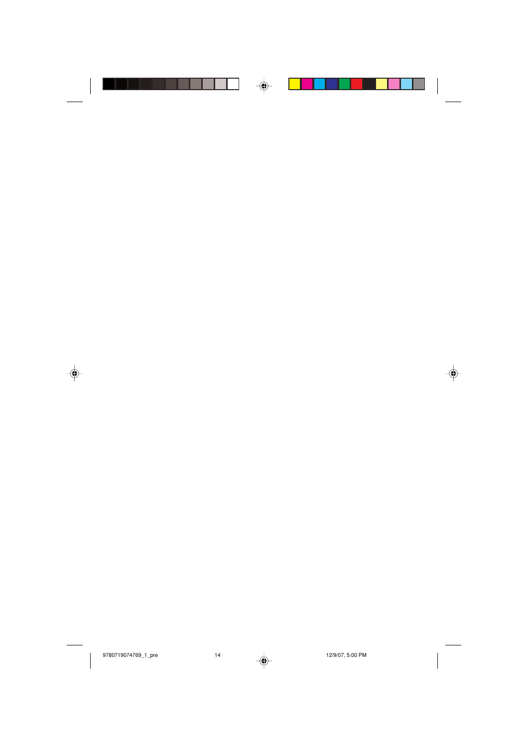9780719074769\_1\_pre 14 14 12/9/07, 5:00 PM

 $\Rightarrow$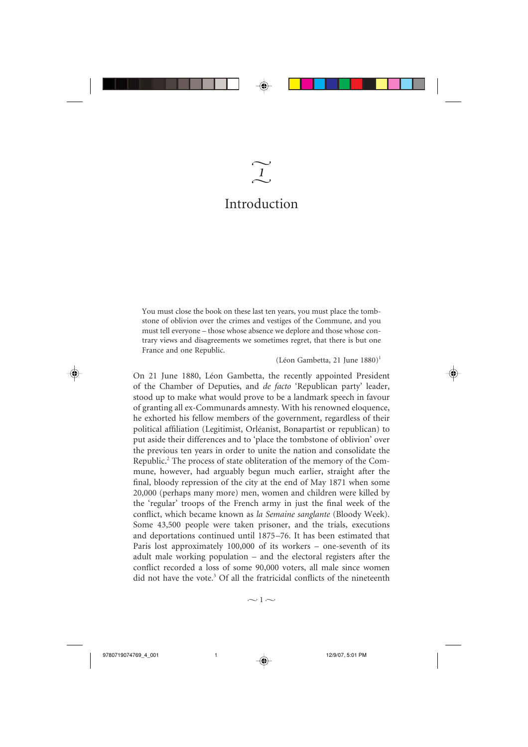

 $\sim$ 

You must close the book on these last ten years, you must place the tombstone of oblivion over the crimes and vestiges of the Commune, and you must tell everyone – those whose absence we deplore and those whose contrary views and disagreements we sometimes regret, that there is but one France and one Republic.

(Léon Gambetta, 21 June 1880)<sup>1</sup>

On 21 June 1880, Léon Gambetta, the recently appointed President of the Chamber of Deputies, and *de facto* 'Republican party' leader, stood up to make what would prove to be a landmark speech in favour of granting all ex-Communards amnesty. With his renowned eloquence, he exhorted his fellow members of the government, regardless of their political affiliation (Legitimist, Orléanist, Bonapartist or republican) to put aside their differences and to 'place the tombstone of oblivion' over the previous ten years in order to unite the nation and consolidate the Republic.<sup>2</sup> The process of state obliteration of the memory of the Commune, however, had arguably begun much earlier, straight after the final, bloody repression of the city at the end of May 1871 when some 20,000 (perhaps many more) men, women and children were killed by the 'regular' troops of the French army in just the final week of the conflict, which became known as *la Semaine sanglante* (Bloody Week). Some 43,500 people were taken prisoner, and the trials, executions and deportations continued until 1875–76. It has been estimated that Paris lost approximately 100,000 of its workers – one-seventh of its adult male working population – and the electoral registers after the conflict recorded a loss of some 90,000 voters, all male since women did not have the vote.<sup>3</sup> Of all the fratricidal conflicts of the nineteenth

 $\sim$  1  $\sim$ 

9780719074769\_4\_001 1 12/9/07, 5:01 PM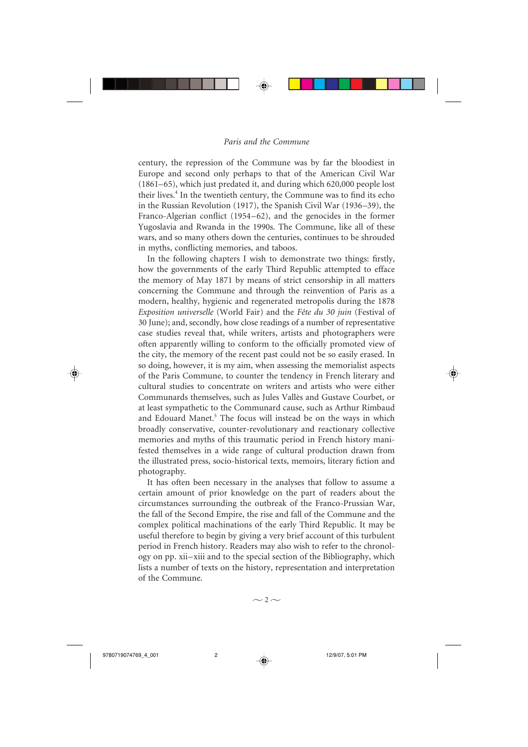

century, the repression of the Commune was by far the bloodiest in Europe and second only perhaps to that of the American Civil War (1861–65), which just predated it, and during which 620,000 people lost their lives.<sup>4</sup> In the twentieth century, the Commune was to find its echo in the Russian Revolution (1917), the Spanish Civil War (1936–39), the Franco-Algerian conflict (1954–62), and the genocides in the former Yugoslavia and Rwanda in the 1990s. The Commune, like all of these wars, and so many others down the centuries, continues to be shrouded in myths, conflicting memories, and taboos.

In the following chapters I wish to demonstrate two things: firstly, how the governments of the early Third Republic attempted to efface the memory of May 1871 by means of strict censorship in all matters concerning the Commune and through the reinvention of Paris as a modern, healthy, hygienic and regenerated metropolis during the 1878 *Exposition universelle* (World Fair) and the *Fête du 30 juin* (Festival of 30 June); and, secondly, how close readings of a number of representative case studies reveal that, while writers, artists and photographers were often apparently willing to conform to the officially promoted view of the city, the memory of the recent past could not be so easily erased. In so doing, however, it is my aim, when assessing the memorialist aspects of the Paris Commune, to counter the tendency in French literary and cultural studies to concentrate on writers and artists who were either Communards themselves, such as Jules Vallès and Gustave Courbet, or at least sympathetic to the Communard cause, such as Arthur Rimbaud and Edouard Manet.<sup>5</sup> The focus will instead be on the ways in which broadly conservative, counter-revolutionary and reactionary collective memories and myths of this traumatic period in French history manifested themselves in a wide range of cultural production drawn from the illustrated press, socio-historical texts, memoirs, literary fiction and photography.

It has often been necessary in the analyses that follow to assume a certain amount of prior knowledge on the part of readers about the circumstances surrounding the outbreak of the Franco-Prussian War, the fall of the Second Empire, the rise and fall of the Commune and the complex political machinations of the early Third Republic. It may be useful therefore to begin by giving a very brief account of this turbulent period in French history. Readers may also wish to refer to the chronology on pp. xii–xiii and to the special section of the Bibliography, which lists a number of texts on the history, representation and interpretation of the Commune.

 $-2$   $\sim$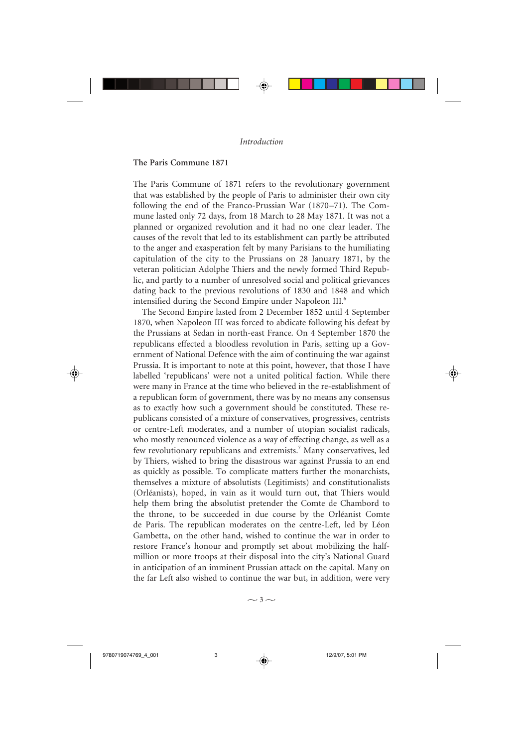

#### **The Paris Commune 1871**

The Paris Commune of 1871 refers to the revolutionary government that was established by the people of Paris to administer their own city following the end of the Franco-Prussian War (1870–71). The Commune lasted only 72 days, from 18 March to 28 May 1871. It was not a planned or organized revolution and it had no one clear leader. The causes of the revolt that led to its establishment can partly be attributed to the anger and exasperation felt by many Parisians to the humiliating capitulation of the city to the Prussians on 28 January 1871, by the veteran politician Adolphe Thiers and the newly formed Third Republic, and partly to a number of unresolved social and political grievances dating back to the previous revolutions of 1830 and 1848 and which intensified during the Second Empire under Napoleon III.<sup>6</sup>

The Second Empire lasted from 2 December 1852 until 4 September 1870, when Napoleon III was forced to abdicate following his defeat by the Prussians at Sedan in north-east France. On 4 September 1870 the republicans effected a bloodless revolution in Paris, setting up a Government of National Defence with the aim of continuing the war against Prussia. It is important to note at this point, however, that those I have labelled 'republicans' were not a united political faction. While there were many in France at the time who believed in the re-establishment of a republican form of government, there was by no means any consensus as to exactly how such a government should be constituted. These republicans consisted of a mixture of conservatives, progressives, centrists or centre-Left moderates, and a number of utopian socialist radicals, who mostly renounced violence as a way of effecting change, as well as a few revolutionary republicans and extremists.<sup>7</sup> Many conservatives, led by Thiers, wished to bring the disastrous war against Prussia to an end as quickly as possible. To complicate matters further the monarchists, themselves a mixture of absolutists (Legitimists) and constitutionalists (Orléanists), hoped, in vain as it would turn out, that Thiers would help them bring the absolutist pretender the Comte de Chambord to the throne, to be succeeded in due course by the Orléanist Comte de Paris. The republican moderates on the centre-Left, led by Léon Gambetta, on the other hand, wished to continue the war in order to restore France's honour and promptly set about mobilizing the halfmillion or more troops at their disposal into the city's National Guard in anticipation of an imminent Prussian attack on the capital. Many on the far Left also wished to continue the war but, in addition, were very

 $\sim$ 3 $\sim$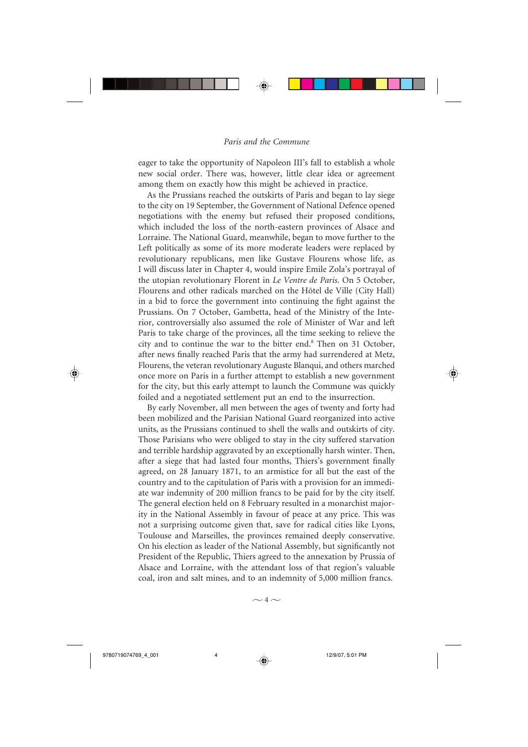

eager to take the opportunity of Napoleon III's fall to establish a whole new social order. There was, however, little clear idea or agreement among them on exactly how this might be achieved in practice.

As the Prussians reached the outskirts of Paris and began to lay siege to the city on 19 September, the Government of National Defence opened negotiations with the enemy but refused their proposed conditions, which included the loss of the north-eastern provinces of Alsace and Lorraine. The National Guard, meanwhile, began to move further to the Left politically as some of its more moderate leaders were replaced by revolutionary republicans, men like Gustave Flourens whose life, as I will discuss later in Chapter 4, would inspire Emile Zola's portrayal of the utopian revolutionary Florent in *Le Ventre de Paris*. On 5 October, Flourens and other radicals marched on the Hôtel de Ville (City Hall) in a bid to force the government into continuing the fight against the Prussians. On 7 October, Gambetta, head of the Ministry of the Interior, controversially also assumed the role of Minister of War and left Paris to take charge of the provinces, all the time seeking to relieve the city and to continue the war to the bitter end.<sup>8</sup> Then on 31 October, after news finally reached Paris that the army had surrendered at Metz, Flourens, the veteran revolutionary Auguste Blanqui, and others marched once more on Paris in a further attempt to establish a new government for the city, but this early attempt to launch the Commune was quickly foiled and a negotiated settlement put an end to the insurrection.

By early November, all men between the ages of twenty and forty had been mobilized and the Parisian National Guard reorganized into active units, as the Prussians continued to shell the walls and outskirts of city. Those Parisians who were obliged to stay in the city suffered starvation and terrible hardship aggravated by an exceptionally harsh winter. Then, after a siege that had lasted four months, Thiers's government finally agreed, on 28 January 1871, to an armistice for all but the east of the country and to the capitulation of Paris with a provision for an immediate war indemnity of 200 million francs to be paid for by the city itself. The general election held on 8 February resulted in a monarchist majority in the National Assembly in favour of peace at any price. This was not a surprising outcome given that, save for radical cities like Lyons, Toulouse and Marseilles, the provinces remained deeply conservative. On his election as leader of the National Assembly, but significantly not President of the Republic, Thiers agreed to the annexation by Prussia of Alsace and Lorraine, with the attendant loss of that region's valuable coal, iron and salt mines, and to an indemnity of 5,000 million francs.

 $\sim$  4  $\sim$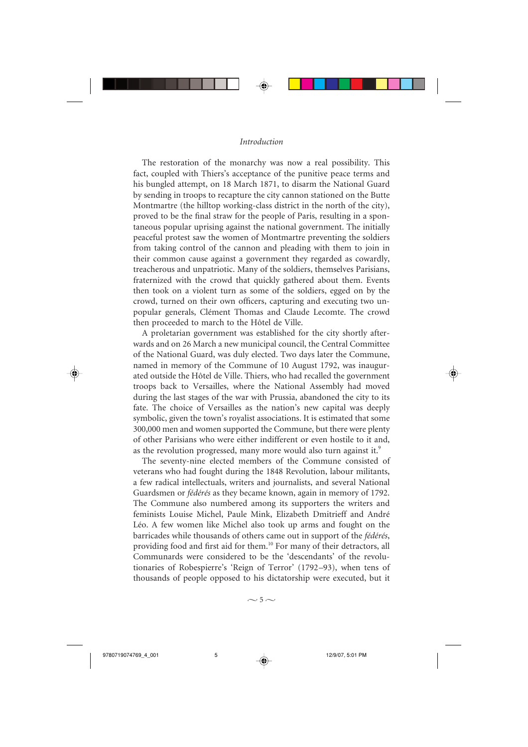

The restoration of the monarchy was now a real possibility. This fact, coupled with Thiers's acceptance of the punitive peace terms and his bungled attempt, on 18 March 1871, to disarm the National Guard by sending in troops to recapture the city cannon stationed on the Butte Montmartre (the hilltop working-class district in the north of the city), proved to be the final straw for the people of Paris, resulting in a spontaneous popular uprising against the national government. The initially peaceful protest saw the women of Montmartre preventing the soldiers from taking control of the cannon and pleading with them to join in their common cause against a government they regarded as cowardly, treacherous and unpatriotic. Many of the soldiers, themselves Parisians, fraternized with the crowd that quickly gathered about them. Events then took on a violent turn as some of the soldiers, egged on by the crowd, turned on their own officers, capturing and executing two unpopular generals, Clément Thomas and Claude Lecomte. The crowd then proceeded to march to the Hôtel de Ville.

A proletarian government was established for the city shortly afterwards and on 26 March a new municipal council, the Central Committee of the National Guard, was duly elected. Two days later the Commune, named in memory of the Commune of 10 August 1792, was inaugurated outside the Hôtel de Ville. Thiers, who had recalled the government troops back to Versailles, where the National Assembly had moved during the last stages of the war with Prussia, abandoned the city to its fate. The choice of Versailles as the nation's new capital was deeply symbolic, given the town's royalist associations. It is estimated that some 300,000 men and women supported the Commune, but there were plenty of other Parisians who were either indifferent or even hostile to it and, as the revolution progressed, many more would also turn against it.<sup>9</sup>

The seventy-nine elected members of the Commune consisted of veterans who had fought during the 1848 Revolution, labour militants, a few radical intellectuals, writers and journalists, and several National Guardsmen or *fédérés* as they became known, again in memory of 1792. The Commune also numbered among its supporters the writers and feminists Louise Michel, Paule Mink, Elizabeth Dmitrieff and André Léo. A few women like Michel also took up arms and fought on the barricades while thousands of others came out in support of the *fédérés*, providing food and first aid for them.<sup>10</sup> For many of their detractors, all Communards were considered to be the 'descendants' of the revolutionaries of Robespierre's 'Reign of Terror' (1792–93), when tens of thousands of people opposed to his dictatorship were executed, but it

 $\sim$  5  $\sim$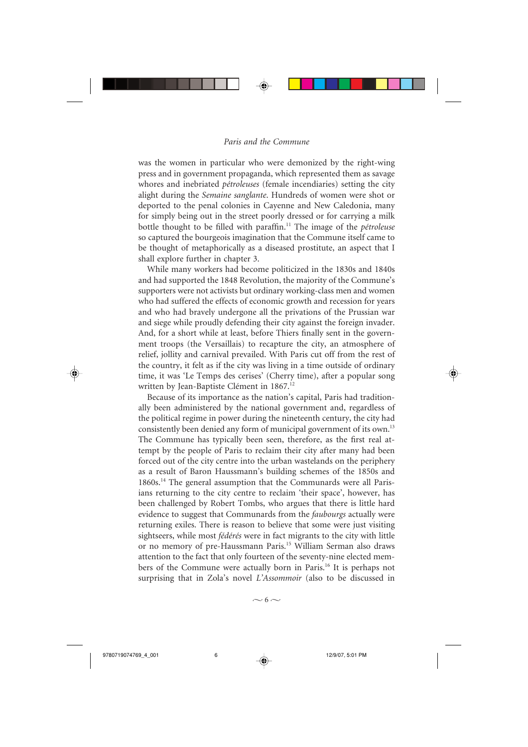

was the women in particular who were demonized by the right-wing press and in government propaganda, which represented them as savage whores and inebriated *pétroleuses* (female incendiaries) setting the city alight during the *Semaine sanglante*. Hundreds of women were shot or deported to the penal colonies in Cayenne and New Caledonia, many for simply being out in the street poorly dressed or for carrying a milk bottle thought to be filled with paraffin.<sup>11</sup> The image of the *pétroleuse* so captured the bourgeois imagination that the Commune itself came to be thought of metaphorically as a diseased prostitute, an aspect that I shall explore further in chapter 3.

While many workers had become politicized in the 1830s and 1840s and had supported the 1848 Revolution, the majority of the Commune's supporters were not activists but ordinary working-class men and women who had suffered the effects of economic growth and recession for years and who had bravely undergone all the privations of the Prussian war and siege while proudly defending their city against the foreign invader. And, for a short while at least, before Thiers finally sent in the government troops (the Versaillais) to recapture the city, an atmosphere of relief, jollity and carnival prevailed. With Paris cut off from the rest of the country, it felt as if the city was living in a time outside of ordinary time, it was 'Le Temps des cerises' (Cherry time), after a popular song written by Jean-Baptiste Clément in 1867.<sup>12</sup>

Because of its importance as the nation's capital, Paris had traditionally been administered by the national government and, regardless of the political regime in power during the nineteenth century, the city had consistently been denied any form of municipal government of its own.<sup>13</sup> The Commune has typically been seen, therefore, as the first real attempt by the people of Paris to reclaim their city after many had been forced out of the city centre into the urban wastelands on the periphery as a result of Baron Haussmann's building schemes of the 1850s and 1860s.<sup>14</sup> The general assumption that the Communards were all Parisians returning to the city centre to reclaim 'their space', however, has been challenged by Robert Tombs, who argues that there is little hard evidence to suggest that Communards from the *faubourgs* actually were returning exiles. There is reason to believe that some were just visiting sightseers, while most *fédérés* were in fact migrants to the city with little or no memory of pre-Haussmann Paris.<sup>15</sup> William Serman also draws attention to the fact that only fourteen of the seventy-nine elected members of the Commune were actually born in Paris.<sup>16</sup> It is perhaps not surprising that in Zola's novel *L'Assommoir* (also to be discussed in

 $\sim$  6  $\sim$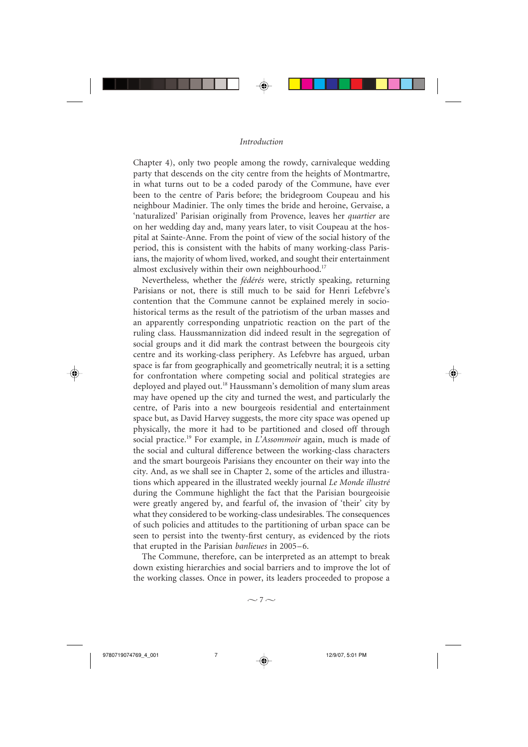

Chapter 4), only two people among the rowdy, carnivaleque wedding party that descends on the city centre from the heights of Montmartre, in what turns out to be a coded parody of the Commune, have ever been to the centre of Paris before; the bridegroom Coupeau and his neighbour Madinier. The only times the bride and heroine, Gervaise, a 'naturalized' Parisian originally from Provence, leaves her *quartier* are on her wedding day and, many years later, to visit Coupeau at the hospital at Sainte-Anne. From the point of view of the social history of the period, this is consistent with the habits of many working-class Parisians, the majority of whom lived, worked, and sought their entertainment almost exclusively within their own neighbourhood.<sup>17</sup>

Nevertheless, whether the *fédérés* were, strictly speaking, returning Parisians or not, there is still much to be said for Henri Lefebvre's contention that the Commune cannot be explained merely in sociohistorical terms as the result of the patriotism of the urban masses and an apparently corresponding unpatriotic reaction on the part of the ruling class. Haussmannization did indeed result in the segregation of social groups and it did mark the contrast between the bourgeois city centre and its working-class periphery. As Lefebvre has argued, urban space is far from geographically and geometrically neutral; it is a setting for confrontation where competing social and political strategies are deployed and played out.<sup>18</sup> Haussmann's demolition of many slum areas may have opened up the city and turned the west, and particularly the centre, of Paris into a new bourgeois residential and entertainment space but, as David Harvey suggests, the more city space was opened up physically, the more it had to be partitioned and closed off through social practice.<sup>19</sup> For example, in *L'Assommoir* again, much is made of the social and cultural difference between the working-class characters and the smart bourgeois Parisians they encounter on their way into the city. And, as we shall see in Chapter 2, some of the articles and illustrations which appeared in the illustrated weekly journal *Le Monde illustré* during the Commune highlight the fact that the Parisian bourgeoisie were greatly angered by, and fearful of, the invasion of 'their' city by what they considered to be working-class undesirables. The consequences of such policies and attitudes to the partitioning of urban space can be seen to persist into the twenty-first century, as evidenced by the riots that erupted in the Parisian *banlieues* in 2005–6.

The Commune, therefore, can be interpreted as an attempt to break down existing hierarchies and social barriers and to improve the lot of the working classes. Once in power, its leaders proceeded to propose a

 $-7$   $\sim$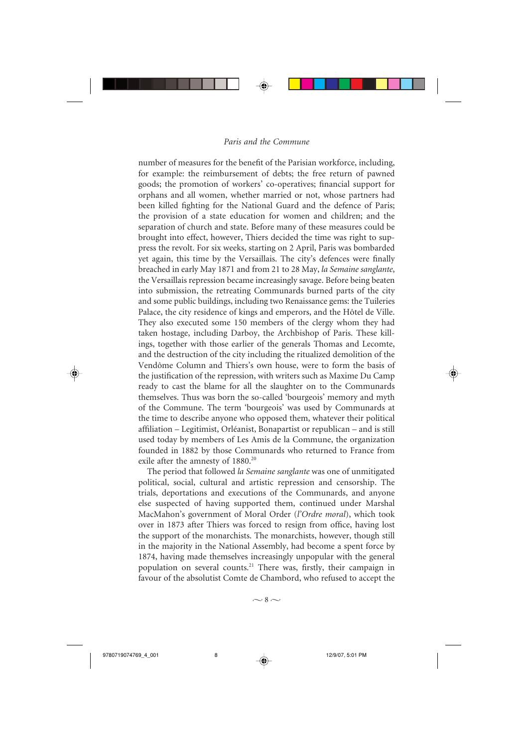

number of measures for the benefit of the Parisian workforce, including, for example: the reimbursement of debts; the free return of pawned goods; the promotion of workers' co-operatives; financial support for orphans and all women, whether married or not, whose partners had been killed fighting for the National Guard and the defence of Paris; the provision of a state education for women and children; and the separation of church and state. Before many of these measures could be brought into effect, however, Thiers decided the time was right to suppress the revolt. For six weeks, starting on 2 April, Paris was bombarded yet again, this time by the Versaillais. The city's defences were finally breached in early May 1871 and from 21 to 28 May, *la Semaine sanglante*, the Versaillais repression became increasingly savage. Before being beaten into submission, the retreating Communards burned parts of the city and some public buildings, including two Renaissance gems: the Tuileries Palace, the city residence of kings and emperors, and the Hôtel de Ville. They also executed some 150 members of the clergy whom they had taken hostage, including Darboy, the Archbishop of Paris. These killings, together with those earlier of the generals Thomas and Lecomte, and the destruction of the city including the ritualized demolition of the Vendôme Column and Thiers's own house, were to form the basis of the justification of the repression, with writers such as Maxime Du Camp ready to cast the blame for all the slaughter on to the Communards themselves. Thus was born the so-called 'bourgeois' memory and myth of the Commune. The term 'bourgeois' was used by Communards at the time to describe anyone who opposed them, whatever their political affiliation – Legitimist, Orléanist, Bonapartist or republican – and is still used today by members of Les Amis de la Commune, the organization founded in 1882 by those Communards who returned to France from exile after the amnesty of 1880.<sup>20</sup>

The period that followed *la Semaine sanglante* was one of unmitigated political, social, cultural and artistic repression and censorship. The trials, deportations and executions of the Communards, and anyone else suspected of having supported them, continued under Marshal MacMahon's government of Moral Order (*l'Ordre moral*), which took over in 1873 after Thiers was forced to resign from office, having lost the support of the monarchists. The monarchists, however, though still in the majority in the National Assembly, had become a spent force by 1874, having made themselves increasingly unpopular with the general population on several counts.<sup>21</sup> There was, firstly, their campaign in favour of the absolutist Comte de Chambord, who refused to accept the

 $\sim 8$   $\sim$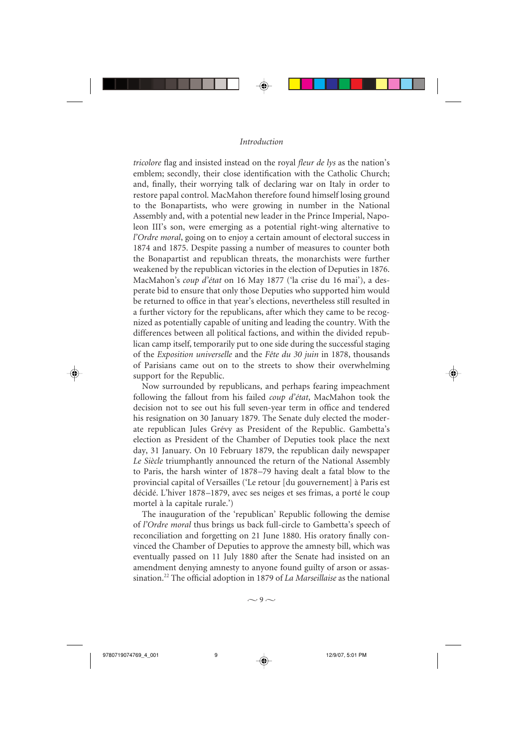

*tricolore* flag and insisted instead on the royal *fleur de lys* as the nation's emblem; secondly, their close identification with the Catholic Church; and, finally, their worrying talk of declaring war on Italy in order to restore papal control. MacMahon therefore found himself losing ground to the Bonapartists, who were growing in number in the National Assembly and, with a potential new leader in the Prince Imperial, Napoleon III's son, were emerging as a potential right-wing alternative to *l'Ordre moral*, going on to enjoy a certain amount of electoral success in 1874 and 1875. Despite passing a number of measures to counter both the Bonapartist and republican threats, the monarchists were further weakened by the republican victories in the election of Deputies in 1876. MacMahon's *coup d'état* on 16 May 1877 ('la crise du 16 mai'), a desperate bid to ensure that only those Deputies who supported him would be returned to office in that year's elections, nevertheless still resulted in a further victory for the republicans, after which they came to be recognized as potentially capable of uniting and leading the country. With the differences between all political factions, and within the divided republican camp itself, temporarily put to one side during the successful staging of the *Exposition universelle* and the *Fête du 30 juin* in 1878, thousands of Parisians came out on to the streets to show their overwhelming support for the Republic.

Now surrounded by republicans, and perhaps fearing impeachment following the fallout from his failed *coup d'état*, MacMahon took the decision not to see out his full seven-year term in office and tendered his resignation on 30 January 1879. The Senate duly elected the moderate republican Jules Grévy as President of the Republic. Gambetta's election as President of the Chamber of Deputies took place the next day, 31 January. On 10 February 1879, the republican daily newspaper *Le Siècle* triumphantly announced the return of the National Assembly to Paris, the harsh winter of 1878–79 having dealt a fatal blow to the provincial capital of Versailles ('Le retour [du gouvernement] à Paris est décidé. L'hiver 1878–1879, avec ses neiges et ses frimas, a porté le coup mortel à la capitale rurale.')

The inauguration of the 'republican' Republic following the demise of *l'Ordre moral* thus brings us back full-circle to Gambetta's speech of reconciliation and forgetting on 21 June 1880. His oratory finally convinced the Chamber of Deputies to approve the amnesty bill, which was eventually passed on 11 July 1880 after the Senate had insisted on an amendment denying amnesty to anyone found guilty of arson or assassination.<sup>22</sup> The official adoption in 1879 of *La Marseillaise* as the national

 $-9-$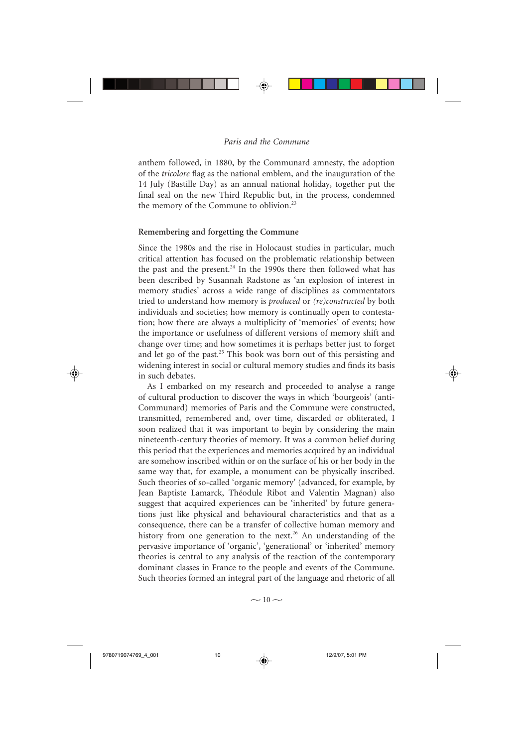

anthem followed, in 1880, by the Communard amnesty, the adoption of the *tricolore* flag as the national emblem, and the inauguration of the 14 July (Bastille Day) as an annual national holiday, together put the final seal on the new Third Republic but, in the process, condemned the memory of the Commune to oblivion.<sup>23</sup>

#### **Remembering and forgetting the Commune**

Since the 1980s and the rise in Holocaust studies in particular, much critical attention has focused on the problematic relationship between the past and the present. $24$  In the 1990s there then followed what has been described by Susannah Radstone as 'an explosion of interest in memory studies' across a wide range of disciplines as commentators tried to understand how memory is *produced* or *(re)constructed* by both individuals and societies; how memory is continually open to contestation; how there are always a multiplicity of 'memories' of events; how the importance or usefulness of different versions of memory shift and change over time; and how sometimes it is perhaps better just to forget and let go of the past.<sup>25</sup> This book was born out of this persisting and widening interest in social or cultural memory studies and finds its basis in such debates.

As I embarked on my research and proceeded to analyse a range of cultural production to discover the ways in which 'bourgeois' (anti-Communard) memories of Paris and the Commune were constructed, transmitted, remembered and, over time, discarded or obliterated, I soon realized that it was important to begin by considering the main nineteenth-century theories of memory. It was a common belief during this period that the experiences and memories acquired by an individual are somehow inscribed within or on the surface of his or her body in the same way that, for example, a monument can be physically inscribed. Such theories of so-called 'organic memory' (advanced, for example, by Jean Baptiste Lamarck, Théodule Ribot and Valentin Magnan) also suggest that acquired experiences can be 'inherited' by future generations just like physical and behavioural characteristics and that as a consequence, there can be a transfer of collective human memory and history from one generation to the next.<sup>26</sup> An understanding of the pervasive importance of 'organic', 'generational' or 'inherited' memory theories is central to any analysis of the reaction of the contemporary dominant classes in France to the people and events of the Commune. Such theories formed an integral part of the language and rhetoric of all

 $\sim$  10  $\sim$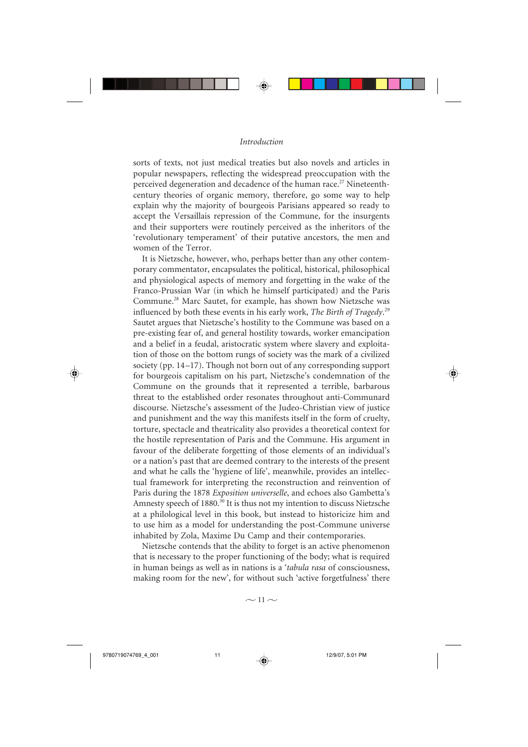

sorts of texts, not just medical treaties but also novels and articles in popular newspapers, reflecting the widespread preoccupation with the perceived degeneration and decadence of the human race.<sup>27</sup> Nineteenthcentury theories of organic memory, therefore, go some way to help explain why the majority of bourgeois Parisians appeared so ready to accept the Versaillais repression of the Commune, for the insurgents and their supporters were routinely perceived as the inheritors of the 'revolutionary temperament' of their putative ancestors, the men and women of the Terror.

It is Nietzsche, however, who, perhaps better than any other contemporary commentator, encapsulates the political, historical, philosophical and physiological aspects of memory and forgetting in the wake of the Franco-Prussian War (in which he himself participated) and the Paris Commune.<sup>28</sup> Marc Sautet, for example, has shown how Nietzsche was influenced by both these events in his early work, *The Birth of Tragedy*. 29 Sautet argues that Nietzsche's hostility to the Commune was based on a pre-existing fear of, and general hostility towards, worker emancipation and a belief in a feudal, aristocratic system where slavery and exploitation of those on the bottom rungs of society was the mark of a civilized society (pp. 14–17). Though not born out of any corresponding support for bourgeois capitalism on his part, Nietzsche's condemnation of the Commune on the grounds that it represented a terrible, barbarous threat to the established order resonates throughout anti-Communard discourse. Nietzsche's assessment of the Judeo-Christian view of justice and punishment and the way this manifests itself in the form of cruelty, torture, spectacle and theatricality also provides a theoretical context for the hostile representation of Paris and the Commune. His argument in favour of the deliberate forgetting of those elements of an individual's or a nation's past that are deemed contrary to the interests of the present and what he calls the 'hygiene of life', meanwhile, provides an intellectual framework for interpreting the reconstruction and reinvention of Paris during the 1878 *Exposition universelle*, and echoes also Gambetta's Amnesty speech of 1880.<sup>30</sup> It is thus not my intention to discuss Nietzsche at a philological level in this book, but instead to historicize him and to use him as a model for understanding the post-Commune universe inhabited by Zola, Maxime Du Camp and their contemporaries.

Nietzsche contends that the ability to forget is an active phenomenon that is necessary to the proper functioning of the body; what is required in human beings as well as in nations is a '*tabula rasa* of consciousness, making room for the new', for without such 'active forgetfulness' there

 $\sim$  11  $\sim$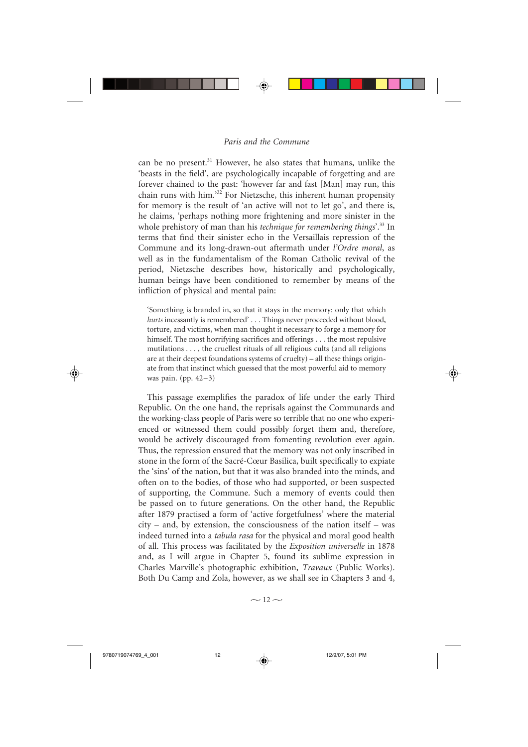

can be no present.<sup>31</sup> However, he also states that humans, unlike the 'beasts in the field', are psychologically incapable of forgetting and are forever chained to the past: 'however far and fast [Man] may run, this chain runs with him.'<sup>32</sup> For Nietzsche, this inherent human propensity for memory is the result of 'an active will not to let go', and there is, he claims, 'perhaps nothing more frightening and more sinister in the whole prehistory of man than his *technique for remembering things*<sup>33</sup>.<sup>33</sup> In terms that find their sinister echo in the Versaillais repression of the Commune and its long-drawn-out aftermath under *l'Ordre moral*, as well as in the fundamentalism of the Roman Catholic revival of the period, Nietzsche describes how, historically and psychologically, human beings have been conditioned to remember by means of the infliction of physical and mental pain:

'Something is branded in, so that it stays in the memory: only that which *hurts* incessantly is remembered' . . . Things never proceeded without blood, torture, and victims, when man thought it necessary to forge a memory for himself. The most horrifying sacrifices and offerings . . . the most repulsive mutilations . . . , the cruellest rituals of all religious cults (and all religions are at their deepest foundations systems of cruelty) – all these things originate from that instinct which guessed that the most powerful aid to memory was pain. (pp. 42–3)

This passage exemplifies the paradox of life under the early Third Republic. On the one hand, the reprisals against the Communards and the working-class people of Paris were so terrible that no one who experienced or witnessed them could possibly forget them and, therefore, would be actively discouraged from fomenting revolution ever again. Thus, the repression ensured that the memory was not only inscribed in stone in the form of the Sacré-Cœur Basilica, built specifically to expiate the 'sins' of the nation, but that it was also branded into the minds, and often on to the bodies, of those who had supported, or been suspected of supporting, the Commune. Such a memory of events could then be passed on to future generations. On the other hand, the Republic after 1879 practised a form of 'active forgetfulness' where the material city – and, by extension, the consciousness of the nation itself – was indeed turned into a *tabula rasa* for the physical and moral good health of all. This process was facilitated by the *Exposition universelle* in 1878 and, as I will argue in Chapter 5, found its sublime expression in Charles Marville's photographic exhibition, *Travaux* (Public Works). Both Du Camp and Zola, however, as we shall see in Chapters 3 and 4,

 $\sim$  12  $\sim$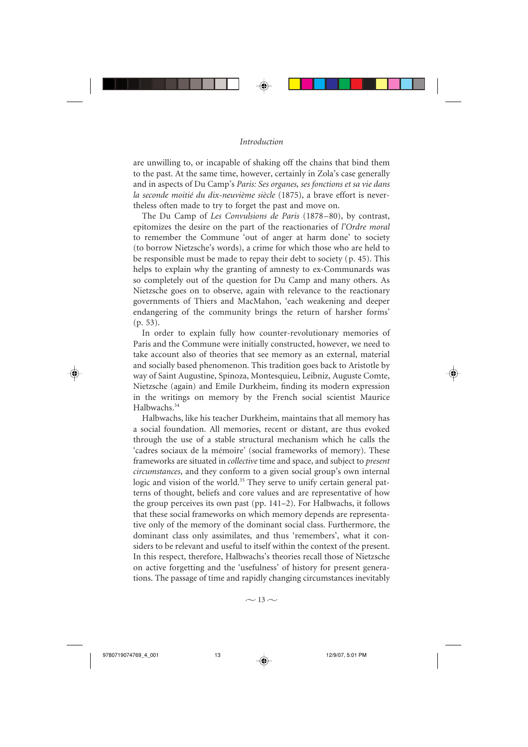

are unwilling to, or incapable of shaking off the chains that bind them to the past. At the same time, however, certainly in Zola's case generally and in aspects of Du Camp's *Paris: Ses organes, ses fonctions et sa vie dans la seconde moitié du dix-neuvième siècle* (1875), a brave effort is nevertheless often made to try to forget the past and move on.

The Du Camp of *Les Convulsions de Paris* (1878–80), by contrast, epitomizes the desire on the part of the reactionaries of *l'Ordre moral* to remember the Commune 'out of anger at harm done' to society (to borrow Nietzsche's words), a crime for which those who are held to be responsible must be made to repay their debt to society (p. 45). This helps to explain why the granting of amnesty to ex-Communards was so completely out of the question for Du Camp and many others. As Nietzsche goes on to observe, again with relevance to the reactionary governments of Thiers and MacMahon, 'each weakening and deeper endangering of the community brings the return of harsher forms' (p. 53).

In order to explain fully how counter-revolutionary memories of Paris and the Commune were initially constructed, however, we need to take account also of theories that see memory as an external, material and socially based phenomenon. This tradition goes back to Aristotle by way of Saint Augustine, Spinoza, Montesquieu, Leibniz, Auguste Comte, Nietzsche (again) and Emile Durkheim, finding its modern expression in the writings on memory by the French social scientist Maurice Halbwachs.<sup>34</sup>

Halbwachs, like his teacher Durkheim, maintains that all memory has a social foundation. All memories, recent or distant, are thus evoked through the use of a stable structural mechanism which he calls the 'cadres sociaux de la mémoire' (social frameworks of memory). These frameworks are situated in *collective* time and space, and subject to *present circumstances*, and they conform to a given social group's own internal logic and vision of the world.<sup>35</sup> They serve to unify certain general patterns of thought, beliefs and core values and are representative of how the group perceives its own past (pp. 141–2). For Halbwachs, it follows that these social frameworks on which memory depends are representative only of the memory of the dominant social class. Furthermore, the dominant class only assimilates, and thus 'remembers', what it considers to be relevant and useful to itself within the context of the present. In this respect, therefore, Halbwachs's theories recall those of Nietzsche on active forgetting and the 'usefulness' of history for present generations. The passage of time and rapidly changing circumstances inevitably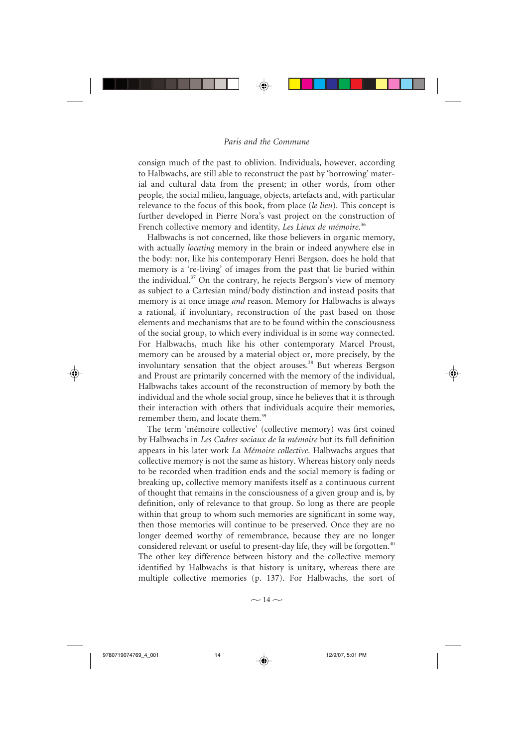

consign much of the past to oblivion. Individuals, however, according to Halbwachs, are still able to reconstruct the past by 'borrowing' material and cultural data from the present; in other words, from other people, the social milieu, language, objects, artefacts and, with particular relevance to the focus of this book, from place (*le lieu*). This concept is further developed in Pierre Nora's vast project on the construction of French collective memory and identity, *Les Lieux de mémoire*. 36

Halbwachs is not concerned, like those believers in organic memory, with actually *locating* memory in the brain or indeed anywhere else in the body: nor, like his contemporary Henri Bergson, does he hold that memory is a 're-living' of images from the past that lie buried within the individual. $37$  On the contrary, he rejects Bergson's view of memory as subject to a Cartesian mind/body distinction and instead posits that memory is at once image *and* reason. Memory for Halbwachs is always a rational, if involuntary, reconstruction of the past based on those elements and mechanisms that are to be found within the consciousness of the social group, to which every individual is in some way connected. For Halbwachs, much like his other contemporary Marcel Proust, memory can be aroused by a material object or, more precisely, by the involuntary sensation that the object arouses.<sup>38</sup> But whereas Bergson and Proust are primarily concerned with the memory of the individual, Halbwachs takes account of the reconstruction of memory by both the individual and the whole social group, since he believes that it is through their interaction with others that individuals acquire their memories, remember them, and locate them.<sup>39</sup>

The term 'mémoire collective' (collective memory) was first coined by Halbwachs in *Les Cadres sociaux de la mémoire* but its full definition appears in his later work *La Mémoire collective*. Halbwachs argues that collective memory is not the same as history. Whereas history only needs to be recorded when tradition ends and the social memory is fading or breaking up, collective memory manifests itself as a continuous current of thought that remains in the consciousness of a given group and is, by definition, only of relevance to that group. So long as there are people within that group to whom such memories are significant in some way, then those memories will continue to be preserved. Once they are no longer deemed worthy of remembrance, because they are no longer considered relevant or useful to present-day life, they will be forgotten.<sup>40</sup> The other key difference between history and the collective memory identified by Halbwachs is that history is unitary, whereas there are multiple collective memories (p. 137). For Halbwachs, the sort of

 $\sim$  14  $\sim$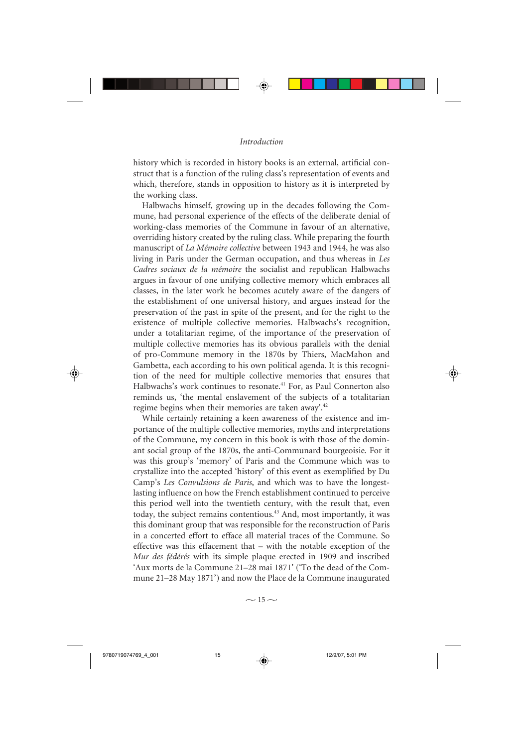

history which is recorded in history books is an external, artificial construct that is a function of the ruling class's representation of events and which, therefore, stands in opposition to history as it is interpreted by the working class.

Halbwachs himself, growing up in the decades following the Commune, had personal experience of the effects of the deliberate denial of working-class memories of the Commune in favour of an alternative, overriding history created by the ruling class. While preparing the fourth manuscript of *La Mémoire collective* between 1943 and 1944, he was also living in Paris under the German occupation, and thus whereas in *Les Cadres sociaux de la mémoire* the socialist and republican Halbwachs argues in favour of one unifying collective memory which embraces all classes, in the later work he becomes acutely aware of the dangers of the establishment of one universal history, and argues instead for the preservation of the past in spite of the present, and for the right to the existence of multiple collective memories. Halbwachs's recognition, under a totalitarian regime, of the importance of the preservation of multiple collective memories has its obvious parallels with the denial of pro-Commune memory in the 1870s by Thiers, MacMahon and Gambetta, each according to his own political agenda. It is this recognition of the need for multiple collective memories that ensures that Halbwachs's work continues to resonate.<sup>41</sup> For, as Paul Connerton also reminds us, 'the mental enslavement of the subjects of a totalitarian regime begins when their memories are taken away'.<sup>42</sup>

While certainly retaining a keen awareness of the existence and importance of the multiple collective memories, myths and interpretations of the Commune, my concern in this book is with those of the dominant social group of the 1870s, the anti-Communard bourgeoisie. For it was this group's 'memory' of Paris and the Commune which was to crystallize into the accepted 'history' of this event as exemplified by Du Camp's *Les Convulsions de Paris*, and which was to have the longestlasting influence on how the French establishment continued to perceive this period well into the twentieth century, with the result that, even today, the subject remains contentious.<sup>43</sup> And, most importantly, it was this dominant group that was responsible for the reconstruction of Paris in a concerted effort to efface all material traces of the Commune. So effective was this effacement that – with the notable exception of the *Mur des fédérés* with its simple plaque erected in 1909 and inscribed 'Aux morts de la Commune 21–28 mai 1871' ('To the dead of the Commune 21–28 May 1871') and now the Place de la Commune inaugurated

 $\sim$  15  $\sim$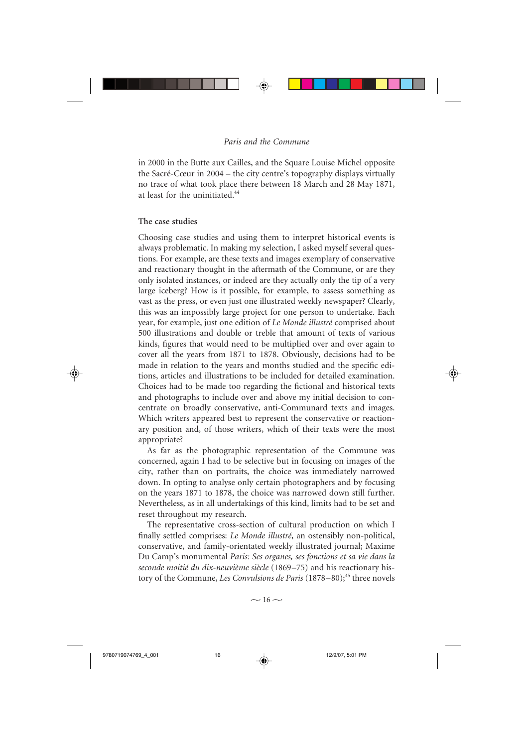

in 2000 in the Butte aux Cailles, and the Square Louise Michel opposite the Sacré-Cœur in 2004 – the city centre's topography displays virtually no trace of what took place there between 18 March and 28 May 1871, at least for the uninitiated.<sup>44</sup>

#### **The case studies**

Choosing case studies and using them to interpret historical events is always problematic. In making my selection, I asked myself several questions. For example, are these texts and images exemplary of conservative and reactionary thought in the aftermath of the Commune, or are they only isolated instances, or indeed are they actually only the tip of a very large iceberg? How is it possible, for example, to assess something as vast as the press, or even just one illustrated weekly newspaper? Clearly, this was an impossibly large project for one person to undertake. Each year, for example, just one edition of *Le Monde illustré* comprised about 500 illustrations and double or treble that amount of texts of various kinds, figures that would need to be multiplied over and over again to cover all the years from 1871 to 1878. Obviously, decisions had to be made in relation to the years and months studied and the specific editions, articles and illustrations to be included for detailed examination. Choices had to be made too regarding the fictional and historical texts and photographs to include over and above my initial decision to concentrate on broadly conservative, anti-Communard texts and images. Which writers appeared best to represent the conservative or reactionary position and, of those writers, which of their texts were the most appropriate?

As far as the photographic representation of the Commune was concerned, again I had to be selective but in focusing on images of the city, rather than on portraits, the choice was immediately narrowed down. In opting to analyse only certain photographers and by focusing on the years 1871 to 1878, the choice was narrowed down still further. Nevertheless, as in all undertakings of this kind, limits had to be set and reset throughout my research.

The representative cross-section of cultural production on which I finally settled comprises: *Le Monde illustré*, an ostensibly non-political, conservative, and family-orientated weekly illustrated journal; Maxime Du Camp's monumental *Paris: Ses organes, ses fonctions et sa vie dans la seconde moitié du dix-neuvième siècle* (1869–75) and his reactionary history of the Commune, *Les Convulsions de Paris* (1878–80);<sup>45</sup> three novels

 $\sim$  16  $\sim$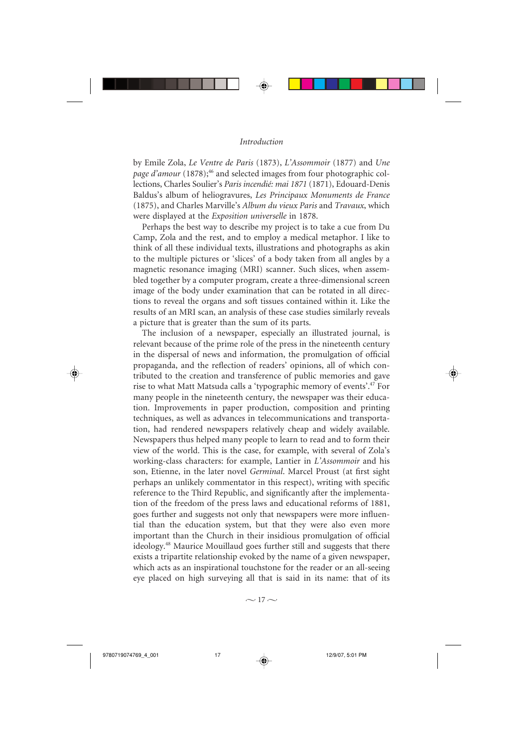

by Emile Zola, *Le Ventre de Paris* (1873), *L'Assommoir* (1877) and *Une page d'amour* (1878);<sup>46</sup> and selected images from four photographic collections, Charles Soulier's *Paris incendié: mai 1871* (1871), Edouard-Denis Baldus's album of heliogravures, *Les Principaux Monuments de France* (1875), and Charles Marville's *Album du vieux Paris* and *Travaux*, which were displayed at the *Exposition universelle* in 1878.

Perhaps the best way to describe my project is to take a cue from Du Camp, Zola and the rest, and to employ a medical metaphor. I like to think of all these individual texts, illustrations and photographs as akin to the multiple pictures or 'slices' of a body taken from all angles by a magnetic resonance imaging (MRI) scanner. Such slices, when assembled together by a computer program, create a three-dimensional screen image of the body under examination that can be rotated in all directions to reveal the organs and soft tissues contained within it. Like the results of an MRI scan, an analysis of these case studies similarly reveals a picture that is greater than the sum of its parts.

The inclusion of a newspaper, especially an illustrated journal, is relevant because of the prime role of the press in the nineteenth century in the dispersal of news and information, the promulgation of official propaganda, and the reflection of readers' opinions, all of which contributed to the creation and transference of public memories and gave rise to what Matt Matsuda calls a 'typographic memory of events'.<sup>47</sup> For many people in the nineteenth century, the newspaper was their education. Improvements in paper production, composition and printing techniques, as well as advances in telecommunications and transportation, had rendered newspapers relatively cheap and widely available. Newspapers thus helped many people to learn to read and to form their view of the world. This is the case, for example, with several of Zola's working-class characters: for example, Lantier in *L'Assommoir* and his son, Etienne, in the later novel *Germinal*. Marcel Proust (at first sight perhaps an unlikely commentator in this respect), writing with specific reference to the Third Republic, and significantly after the implementation of the freedom of the press laws and educational reforms of 1881, goes further and suggests not only that newspapers were more influential than the education system, but that they were also even more important than the Church in their insidious promulgation of official ideology.<sup>48</sup> Maurice Mouillaud goes further still and suggests that there exists a tripartite relationship evoked by the name of a given newspaper, which acts as an inspirational touchstone for the reader or an all-seeing eye placed on high surveying all that is said in its name: that of its

 $\sim$  17  $\sim$ 

9780719074769\_4\_001 17 12/9/07, 5:01 PM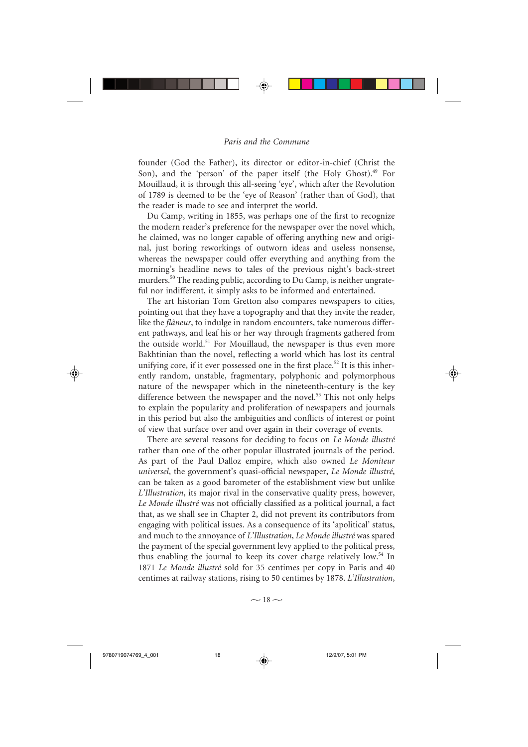

founder (God the Father), its director or editor-in-chief (Christ the Son), and the 'person' of the paper itself (the Holy Ghost).<sup>49</sup> For Mouillaud, it is through this all-seeing 'eye', which after the Revolution of 1789 is deemed to be the 'eye of Reason' (rather than of God), that the reader is made to see and interpret the world.

Du Camp, writing in 1855, was perhaps one of the first to recognize the modern reader's preference for the newspaper over the novel which, he claimed, was no longer capable of offering anything new and original, just boring reworkings of outworn ideas and useless nonsense, whereas the newspaper could offer everything and anything from the morning's headline news to tales of the previous night's back-street murders.<sup>50</sup> The reading public, according to Du Camp, is neither ungrateful nor indifferent, it simply asks to be informed and entertained.

The art historian Tom Gretton also compares newspapers to cities, pointing out that they have a topography and that they invite the reader, like the *flâneur*, to indulge in random encounters, take numerous different pathways, and leaf his or her way through fragments gathered from the outside world.<sup>51</sup> For Mouillaud, the newspaper is thus even more Bakhtinian than the novel, reflecting a world which has lost its central unifying core, if it ever possessed one in the first place.<sup>52</sup> It is this inherently random, unstable, fragmentary, polyphonic and polymorphous nature of the newspaper which in the nineteenth-century is the key difference between the newspaper and the novel.<sup>53</sup> This not only helps to explain the popularity and proliferation of newspapers and journals in this period but also the ambiguities and conflicts of interest or point of view that surface over and over again in their coverage of events.

There are several reasons for deciding to focus on *Le Monde illustré* rather than one of the other popular illustrated journals of the period. As part of the Paul Dalloz empire, which also owned *Le Moniteur universel*, the government's quasi-official newspaper, *Le Monde illustré*, can be taken as a good barometer of the establishment view but unlike *L'Illustration*, its major rival in the conservative quality press, however, *Le Monde illustré* was not officially classified as a political journal, a fact that, as we shall see in Chapter 2, did not prevent its contributors from engaging with political issues. As a consequence of its 'apolitical' status, and much to the annoyance of *L'Illustration*, *Le Monde illustré* was spared the payment of the special government levy applied to the political press, thus enabling the journal to keep its cover charge relatively low.<sup>54</sup> In 1871 *Le Monde illustré* sold for 35 centimes per copy in Paris and 40 centimes at railway stations, rising to 50 centimes by 1878. *L'Illustration*,

 $\sim$  18  $\sim$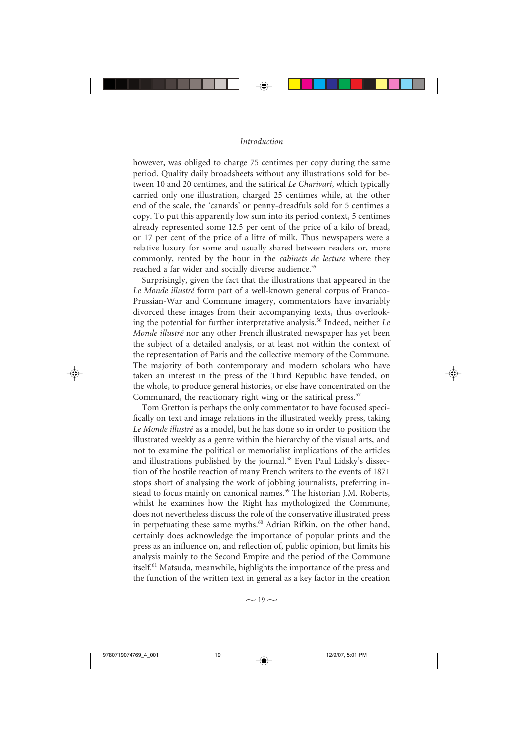

however, was obliged to charge 75 centimes per copy during the same period. Quality daily broadsheets without any illustrations sold for between 10 and 20 centimes, and the satirical *Le Charivari*, which typically carried only one illustration, charged 25 centimes while, at the other end of the scale, the 'canards' or penny-dreadfuls sold for 5 centimes a copy. To put this apparently low sum into its period context, 5 centimes already represented some 12.5 per cent of the price of a kilo of bread, or 17 per cent of the price of a litre of milk. Thus newspapers were a relative luxury for some and usually shared between readers or, more commonly, rented by the hour in the *cabinets de lecture* where they reached a far wider and socially diverse audience.<sup>55</sup>

Surprisingly, given the fact that the illustrations that appeared in the *Le Monde illustré* form part of a well-known general corpus of Franco-Prussian-War and Commune imagery, commentators have invariably divorced these images from their accompanying texts, thus overlooking the potential for further interpretative analysis.<sup>56</sup> Indeed, neither *Le Monde illustré* nor any other French illustrated newspaper has yet been the subject of a detailed analysis, or at least not within the context of the representation of Paris and the collective memory of the Commune. The majority of both contemporary and modern scholars who have taken an interest in the press of the Third Republic have tended, on the whole, to produce general histories, or else have concentrated on the Communard, the reactionary right wing or the satirical press.<sup>57</sup>

Tom Gretton is perhaps the only commentator to have focused specifically on text and image relations in the illustrated weekly press, taking *Le Monde illustré* as a model, but he has done so in order to position the illustrated weekly as a genre within the hierarchy of the visual arts, and not to examine the political or memorialist implications of the articles and illustrations published by the journal.<sup>58</sup> Even Paul Lidsky's dissection of the hostile reaction of many French writers to the events of 1871 stops short of analysing the work of jobbing journalists, preferring instead to focus mainly on canonical names.<sup>59</sup> The historian J.M. Roberts, whilst he examines how the Right has mythologized the Commune, does not nevertheless discuss the role of the conservative illustrated press in perpetuating these same myths.<sup>60</sup> Adrian Rifkin, on the other hand, certainly does acknowledge the importance of popular prints and the press as an influence on, and reflection of, public opinion, but limits his analysis mainly to the Second Empire and the period of the Commune itself.<sup>61</sup> Matsuda, meanwhile, highlights the importance of the press and the function of the written text in general as a key factor in the creation

 $\sim$  19  $\sim$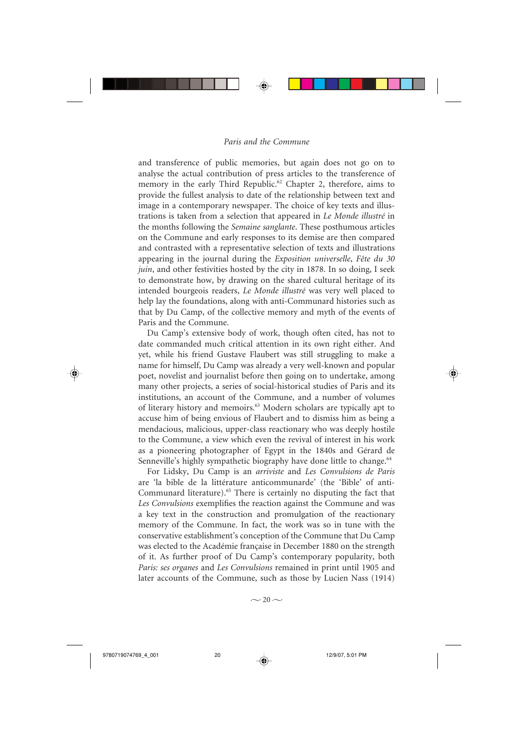

and transference of public memories, but again does not go on to analyse the actual contribution of press articles to the transference of memory in the early Third Republic.<sup>62</sup> Chapter 2, therefore, aims to provide the fullest analysis to date of the relationship between text and image in a contemporary newspaper. The choice of key texts and illustrations is taken from a selection that appeared in *Le Monde illustré* in the months following the *Semaine sanglante*. These posthumous articles on the Commune and early responses to its demise are then compared and contrasted with a representative selection of texts and illustrations appearing in the journal during the *Exposition universelle*, *Fête du 30 juin*, and other festivities hosted by the city in 1878. In so doing, I seek to demonstrate how, by drawing on the shared cultural heritage of its intended bourgeois readers, *Le Monde illustré* was very well placed to help lay the foundations, along with anti-Communard histories such as that by Du Camp, of the collective memory and myth of the events of Paris and the Commune.

Du Camp's extensive body of work, though often cited, has not to date commanded much critical attention in its own right either. And yet, while his friend Gustave Flaubert was still struggling to make a name for himself, Du Camp was already a very well-known and popular poet, novelist and journalist before then going on to undertake, among many other projects, a series of social-historical studies of Paris and its institutions, an account of the Commune, and a number of volumes of literary history and memoirs.<sup>63</sup> Modern scholars are typically apt to accuse him of being envious of Flaubert and to dismiss him as being a mendacious, malicious, upper-class reactionary who was deeply hostile to the Commune, a view which even the revival of interest in his work as a pioneering photographer of Egypt in the 1840s and Gérard de Senneville's highly sympathetic biography have done little to change.<sup>64</sup>

For Lidsky, Du Camp is an *arriviste* and *Les Convulsions de Paris* are 'la bible de la littérature anticommunarde' (the 'Bible' of anti-Communard literature).<sup>65</sup> There is certainly no disputing the fact that *Les Convulsions* exemplifies the reaction against the Commune and was a key text in the construction and promulgation of the reactionary memory of the Commune. In fact, the work was so in tune with the conservative establishment's conception of the Commune that Du Camp was elected to the Académie française in December 1880 on the strength of it. As further proof of Du Camp's contemporary popularity, both *Paris: ses organes* and *Les Convulsions* remained in print until 1905 and later accounts of the Commune, such as those by Lucien Nass (1914)

 $\sim$  20  $\sim$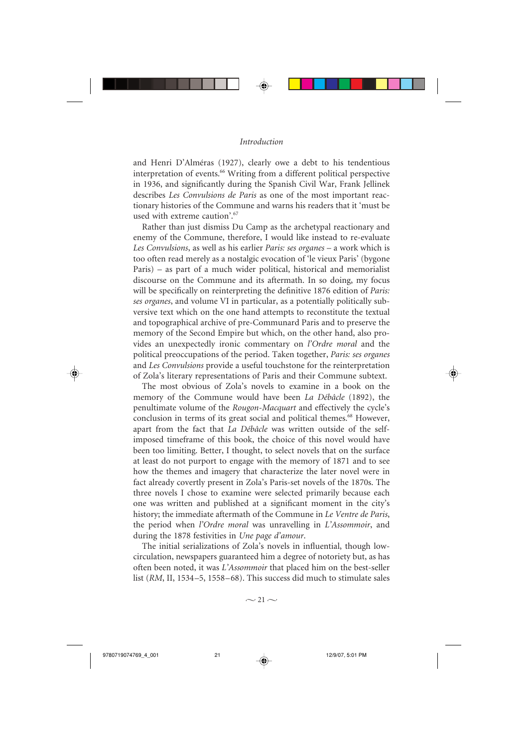

and Henri D'Alméras (1927), clearly owe a debt to his tendentious interpretation of events.<sup>66</sup> Writing from a different political perspective in 1936, and significantly during the Spanish Civil War, Frank Jellinek describes *Les Convulsions de Paris* as one of the most important reactionary histories of the Commune and warns his readers that it 'must be used with extreme caution'.<sup>67</sup>

Rather than just dismiss Du Camp as the archetypal reactionary and enemy of the Commune, therefore, I would like instead to re-evaluate *Les Convulsions*, as well as his earlier *Paris: ses organes* – a work which is too often read merely as a nostalgic evocation of 'le vieux Paris' (bygone Paris) – as part of a much wider political, historical and memorialist discourse on the Commune and its aftermath. In so doing, my focus will be specifically on reinterpreting the definitive 1876 edition of *Paris: ses organes*, and volume VI in particular, as a potentially politically subversive text which on the one hand attempts to reconstitute the textual and topographical archive of pre-Communard Paris and to preserve the memory of the Second Empire but which, on the other hand, also provides an unexpectedly ironic commentary on *l'Ordre moral* and the political preoccupations of the period. Taken together, *Paris: ses organes* and *Les Convulsions* provide a useful touchstone for the reinterpretation of Zola's literary representations of Paris and their Commune subtext.

The most obvious of Zola's novels to examine in a book on the memory of the Commune would have been *La Débâcle* (1892), the penultimate volume of the *Rougon-Macquart* and effectively the cycle's conclusion in terms of its great social and political themes.<sup>68</sup> However, apart from the fact that *La Débâcle* was written outside of the selfimposed timeframe of this book, the choice of this novel would have been too limiting. Better, I thought, to select novels that on the surface at least do not purport to engage with the memory of 1871 and to see how the themes and imagery that characterize the later novel were in fact already covertly present in Zola's Paris-set novels of the 1870s. The three novels I chose to examine were selected primarily because each one was written and published at a significant moment in the city's history; the immediate aftermath of the Commune in *Le Ventre de Paris*, the period when *l'Ordre moral* was unravelling in *L'Assommoir*, and during the 1878 festivities in *Une page d'amour*.

The initial serializations of Zola's novels in influential, though lowcirculation, newspapers guaranteed him a degree of notoriety but, as has often been noted, it was *L'Assommoir* that placed him on the best-seller list (*RM*, II, 1534–5, 1558–68). This success did much to stimulate sales

 $\sim$  21  $\sim$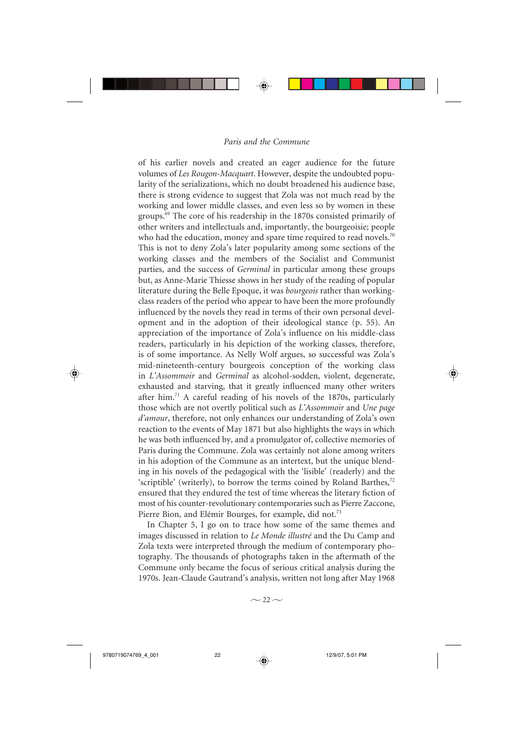

of his earlier novels and created an eager audience for the future volumes of *Les Rougon-Macquart*. However, despite the undoubted popularity of the serializations, which no doubt broadened his audience base, there is strong evidence to suggest that Zola was not much read by the working and lower middle classes, and even less so by women in these groups.<sup>69</sup> The core of his readership in the 1870s consisted primarily of other writers and intellectuals and, importantly, the bourgeoisie; people who had the education, money and spare time required to read novels.<sup>70</sup> This is not to deny Zola's later popularity among some sections of the working classes and the members of the Socialist and Communist parties, and the success of *Germinal* in particular among these groups but, as Anne-Marie Thiesse shows in her study of the reading of popular literature during the Belle Epoque, it was *bourgeois* rather than workingclass readers of the period who appear to have been the more profoundly influenced by the novels they read in terms of their own personal development and in the adoption of their ideological stance (p. 55). An appreciation of the importance of Zola's influence on his middle-class readers, particularly in his depiction of the working classes, therefore, is of some importance. As Nelly Wolf argues, so successful was Zola's mid-nineteenth-century bourgeois conception of the working class in *L'Assommoir* and *Germinal* as alcohol-sodden, violent, degenerate, exhausted and starving, that it greatly influenced many other writers after him.<sup>71</sup> A careful reading of his novels of the 1870s, particularly those which are not overtly political such as *L'Assommoir* and *Une page d'amour*, therefore, not only enhances our understanding of Zola's own reaction to the events of May 1871 but also highlights the ways in which he was both influenced by, and a promulgator of, collective memories of Paris during the Commune. Zola was certainly not alone among writers in his adoption of the Commune as an intertext, but the unique blending in his novels of the pedagogical with the 'lisible' (readerly) and the 'scriptible' (writerly), to borrow the terms coined by Roland Barthes, $72$ ensured that they endured the test of time whereas the literary fiction of most of his counter-revolutionary contemporaries such as Pierre Zaccone, Pierre Bion, and Elémir Bourges, for example, did not.<sup>73</sup>

In Chapter 5, I go on to trace how some of the same themes and images discussed in relation to *Le Monde illustré* and the Du Camp and Zola texts were interpreted through the medium of contemporary photography. The thousands of photographs taken in the aftermath of the Commune only became the focus of serious critical analysis during the 1970s. Jean-Claude Gautrand's analysis, written not long after May 1968

 $\sim$  22  $\sim$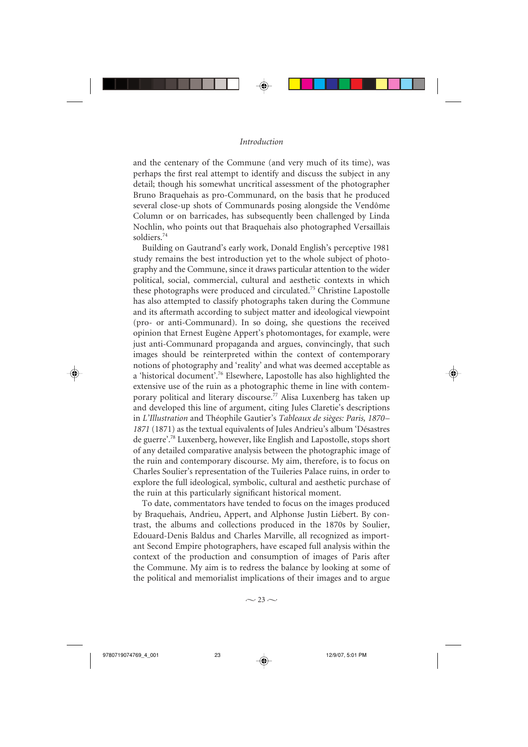

and the centenary of the Commune (and very much of its time), was perhaps the first real attempt to identify and discuss the subject in any detail; though his somewhat uncritical assessment of the photographer Bruno Braquehais as pro-Communard, on the basis that he produced several close-up shots of Communards posing alongside the Vendôme Column or on barricades, has subsequently been challenged by Linda Nochlin, who points out that Braquehais also photographed Versaillais soldiers.<sup>74</sup>

Building on Gautrand's early work, Donald English's perceptive 1981 study remains the best introduction yet to the whole subject of photography and the Commune, since it draws particular attention to the wider political, social, commercial, cultural and aesthetic contexts in which these photographs were produced and circulated.<sup>75</sup> Christine Lapostolle has also attempted to classify photographs taken during the Commune and its aftermath according to subject matter and ideological viewpoint (pro- or anti-Communard). In so doing, she questions the received opinion that Ernest Eugène Appert's photomontages, for example, were just anti-Communard propaganda and argues, convincingly, that such images should be reinterpreted within the context of contemporary notions of photography and 'reality' and what was deemed acceptable as a 'historical document'.<sup>76</sup> Elsewhere, Lapostolle has also highlighted the extensive use of the ruin as a photographic theme in line with contemporary political and literary discourse.<sup>77</sup> Alisa Luxenberg has taken up and developed this line of argument, citing Jules Claretie's descriptions in *L'Illustration* and Théophile Gautier's *Tableaux de sièges: Paris, 1870– 1871* (1871) as the textual equivalents of Jules Andrieu's album 'Désastres de guerre'.<sup>78</sup> Luxenberg, however, like English and Lapostolle, stops short of any detailed comparative analysis between the photographic image of the ruin and contemporary discourse. My aim, therefore, is to focus on Charles Soulier's representation of the Tuileries Palace ruins, in order to explore the full ideological, symbolic, cultural and aesthetic purchase of the ruin at this particularly significant historical moment.

To date, commentators have tended to focus on the images produced by Braquehais, Andrieu, Appert, and Alphonse Justin Liébert. By contrast, the albums and collections produced in the 1870s by Soulier, Edouard-Denis Baldus and Charles Marville, all recognized as important Second Empire photographers, have escaped full analysis within the context of the production and consumption of images of Paris after the Commune. My aim is to redress the balance by looking at some of the political and memorialist implications of their images and to argue

 $\sim$  23  $\sim$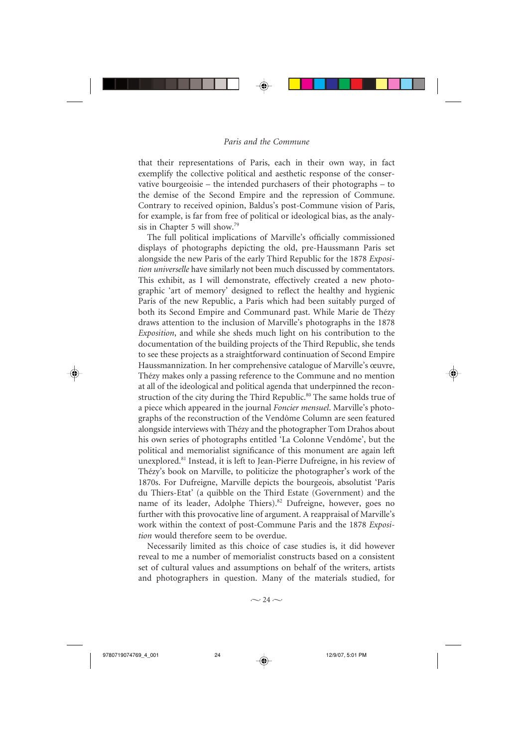

that their representations of Paris, each in their own way, in fact exemplify the collective political and aesthetic response of the conservative bourgeoisie – the intended purchasers of their photographs – to the demise of the Second Empire and the repression of Commune. Contrary to received opinion, Baldus's post-Commune vision of Paris, for example, is far from free of political or ideological bias, as the analysis in Chapter 5 will show.<sup>79</sup>

The full political implications of Marville's officially commissioned displays of photographs depicting the old, pre-Haussmann Paris set alongside the new Paris of the early Third Republic for the 1878 *Exposition universelle* have similarly not been much discussed by commentators. This exhibit, as I will demonstrate, effectively created a new photographic 'art of memory' designed to reflect the healthy and hygienic Paris of the new Republic, a Paris which had been suitably purged of both its Second Empire and Communard past. While Marie de Thézy draws attention to the inclusion of Marville's photographs in the 1878 *Exposition*, and while she sheds much light on his contribution to the documentation of the building projects of the Third Republic, she tends to see these projects as a straightforward continuation of Second Empire Haussmannization. In her comprehensive catalogue of Marville's œuvre, Thézy makes only a passing reference to the Commune and no mention at all of the ideological and political agenda that underpinned the reconstruction of the city during the Third Republic.<sup>80</sup> The same holds true of a piece which appeared in the journal *Foncier mensuel*. Marville's photographs of the reconstruction of the Vendôme Column are seen featured alongside interviews with Thézy and the photographer Tom Drahos about his own series of photographs entitled 'La Colonne Vendôme', but the political and memorialist significance of this monument are again left unexplored.<sup>81</sup> Instead, it is left to Jean-Pierre Dufreigne, in his review of Thézy's book on Marville, to politicize the photographer's work of the 1870s. For Dufreigne, Marville depicts the bourgeois, absolutist 'Paris du Thiers-Etat' (a quibble on the Third Estate (Government) and the name of its leader, Adolphe Thiers).<sup>82</sup> Dufreigne, however, goes no further with this provocative line of argument. A reappraisal of Marville's work within the context of post-Commune Paris and the 1878 *Exposition* would therefore seem to be overdue.

Necessarily limited as this choice of case studies is, it did however reveal to me a number of memorialist constructs based on a consistent set of cultural values and assumptions on behalf of the writers, artists and photographers in question. Many of the materials studied, for

 $\sim$  24  $\sim$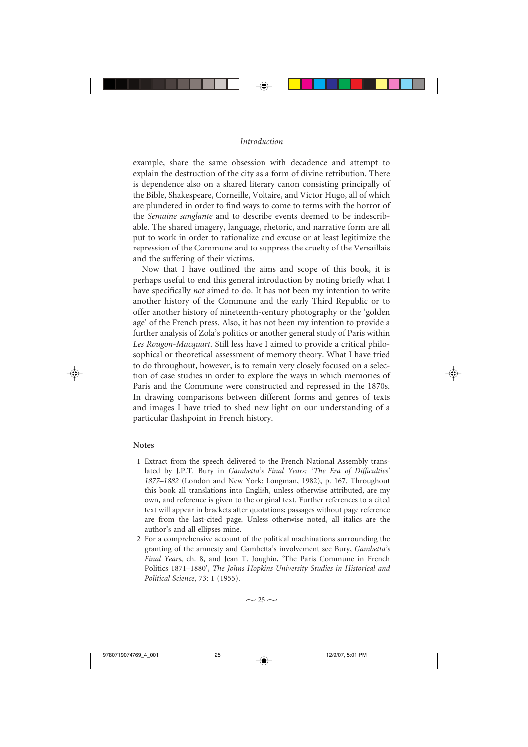

example, share the same obsession with decadence and attempt to explain the destruction of the city as a form of divine retribution. There is dependence also on a shared literary canon consisting principally of the Bible, Shakespeare, Corneille, Voltaire, and Victor Hugo, all of which are plundered in order to find ways to come to terms with the horror of the *Semaine sanglante* and to describe events deemed to be indescribable. The shared imagery, language, rhetoric, and narrative form are all put to work in order to rationalize and excuse or at least legitimize the repression of the Commune and to suppress the cruelty of the Versaillais and the suffering of their victims.

Now that I have outlined the aims and scope of this book, it is perhaps useful to end this general introduction by noting briefly what I have specifically *not* aimed to do. It has not been my intention to write another history of the Commune and the early Third Republic or to offer another history of nineteenth-century photography or the 'golden age' of the French press. Also, it has not been my intention to provide a further analysis of Zola's politics or another general study of Paris within *Les Rougon-Macquart*. Still less have I aimed to provide a critical philosophical or theoretical assessment of memory theory. What I have tried to do throughout, however, is to remain very closely focused on a selection of case studies in order to explore the ways in which memories of Paris and the Commune were constructed and repressed in the 1870s. In drawing comparisons between different forms and genres of texts and images I have tried to shed new light on our understanding of a particular flashpoint in French history.

#### **Notes**

- 1 Extract from the speech delivered to the French National Assembly translated by J.P.T. Bury in *Gambetta's Final Years: 'The Era of Difficulties' 1877–1882* (London and New York: Longman, 1982), p. 167. Throughout this book all translations into English, unless otherwise attributed, are my own, and reference is given to the original text. Further references to a cited text will appear in brackets after quotations; passages without page reference are from the last-cited page. Unless otherwise noted, all italics are the author's and all ellipses mine.
- 2 For a comprehensive account of the political machinations surrounding the granting of the amnesty and Gambetta's involvement see Bury, *Gambetta's Final Years*, ch. 8, and Jean T. Joughin, 'The Paris Commune in French Politics 1871–1880', *The Johns Hopkins University Studies in Historical and Political Science*, 73: 1 (1955).

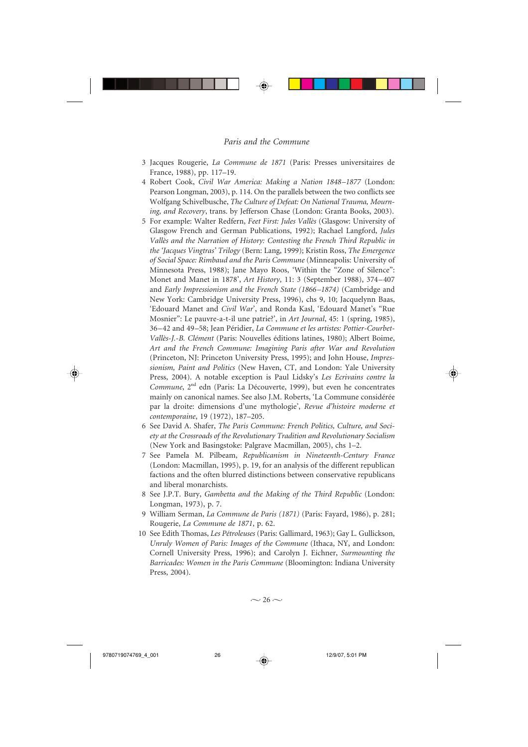- 3 Jacques Rougerie, *La Commune de 1871* (Paris: Presses universitaires de France, 1988), pp. 117–19.
- 4 Robert Cook, *Civil War America: Making a Nation 1848–1877* (London: Pearson Longman, 2003), p. 114. On the parallels between the two conflicts see Wolfgang Schivelbusche, *The Culture of Defeat: On National Trauma, Mourning, and Recovery*, trans. by Jefferson Chase (London: Granta Books, 2003).
- 5 For example: Walter Redfern, *Feet First: Jules Vallès* (Glasgow: University of Glasgow French and German Publications, 1992); Rachael Langford, *Jules Vallès and the Narration of History: Contesting the French Third Republic in the 'Jacques Vingtras' Trilogy* (Bern: Lang, 1999); Kristin Ross, *The Emergence of Social Space: Rimbaud and the Paris Commune* (Minneapolis: University of Minnesota Press, 1988); Jane Mayo Roos, 'Within the "Zone of Silence": Monet and Manet in 1878', *Art History*, 11: 3 (September 1988), 374–407 and *Early Impressionism and the French State (1866–1874)* (Cambridge and New York: Cambridge University Press, 1996), chs 9, 10; Jacquelynn Baas, 'Edouard Manet and *Civil War*', and Ronda Kasl, 'Edouard Manet's "Rue Mosnier": Le pauvre-a-t-il une patrie?', in *Art Journal*, 45: 1 (spring, 1985), 36–42 and 49–58; Jean Péridier, *La Commune et les artistes: Pottier-Courbet-Vallès-J.-B. Clément* (Paris: Nouvelles éditions latines, 1980); Albert Boime, *Art and the French Commune: Imagining Paris after War and Revolution* (Princeton, NJ: Princeton University Press, 1995); and John House, *Impressionism, Paint and Politics* (New Haven, CT, and London: Yale University Press, 2004). A notable exception is Paul Lidsky's *Les Ecrivains contre la Commune*, 2nd edn (Paris: La Découverte, 1999), but even he concentrates mainly on canonical names. See also J.M. Roberts, 'La Commune considérée par la droite: dimensions d'une mythologie', *Revue d'histoire moderne et contemporaine*, 19 (1972), 187–205.
- 6 See David A. Shafer, *The Paris Commune: French Politics, Culture, and Society at the Crossroads of the Revolutionary Tradition and Revolutionary Socialism* (New York and Basingstoke: Palgrave Macmillan, 2005), chs 1–2.
- 7 See Pamela M. Pilbeam, *Republicanism in Nineteenth-Century France* (London: Macmillan, 1995), p. 19, for an analysis of the different republican factions and the often blurred distinctions between conservative republicans and liberal monarchists.
- 8 See J.P.T. Bury, *Gambetta and the Making of the Third Republic* (London: Longman, 1973), p. 7.
- 9 William Serman, *La Commune de Paris (1871)* (Paris: Fayard, 1986), p. 281; Rougerie, *La Commune de 1871*, p. 62.
- 10 See Edith Thomas, *Les Pétroleuses* (Paris: Gallimard, 1963); Gay L. Gullickson, *Unruly Women of Paris: Images of the Commune* (Ithaca, NY, and London: Cornell University Press, 1996); and Carolyn J. Eichner, *Surmounting the Barricades: Women in the Paris Commune* (Bloomington: Indiana University Press, 2004).

#### $\sim$  26  $\sim$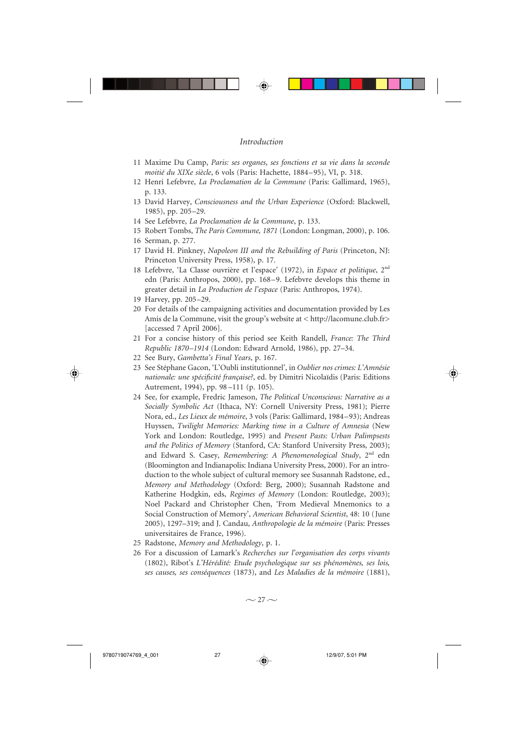- 11 Maxime Du Camp, *Paris: ses organes*, *ses fonctions et sa vie dans la seconde moitié du XIXe siècle*, 6 vols (Paris: Hachette, 1884–95), VI, p. 318.
- 12 Henri Lefebvre, *La Proclamation de la Commune* (Paris: Gallimard, 1965), p. 133.
- 13 David Harvey, *Consciousness and the Urban Experience* (Oxford: Blackwell, 1985), pp. 205–29.
- 14 See Lefebvre, *La Proclamation de la Commune*, p. 133.
- 15 Robert Tombs, *The Paris Commune, 1871* (London: Longman, 2000), p. 106.
- 16 Serman, p. 277.
- 17 David H. Pinkney, *Napoleon III and the Rebuilding of Paris* (Princeton, NJ: Princeton University Press, 1958), p. 17.
- 18 Lefebvre, 'La Classe ouvrière et l'espace' (1972), in *Espace et politique*, 2nd edn (Paris: Anthropos, 2000), pp. 168–9. Lefebvre develops this theme in greater detail in *La Production de l'espace* (Paris: Anthropos, 1974).
- 19 Harvey, pp. 205–29.
- 20 For details of the campaigning activities and documentation provided by Les Amis de la Commune, visit the group's website at < http://lacomune.club.fr> [accessed 7 April 2006].
- 21 For a concise history of this period see Keith Randell, *France: The Third Republic 1870–1914* (London: Edward Arnold, 1986), pp. 27–34.
- 22 See Bury, *Gambetta's Final Years*, p. 167.
- 23 See Stéphane Gacon, 'L'Oubli institutionnel', in *Oublier nos crimes: L'Amnésie nationale: une spécificité française?*, ed. by Dimitri Nicolaïdis (Paris: Editions Autrement, 1994), pp. 98 –111 (p. 105).
- 24 See, for example, Fredric Jameson, *The Political Unconscious: Narrative as a Socially Symbolic Act* (Ithaca, NY: Cornell University Press, 1981); Pierre Nora, ed., *Les Lieux de mémoire*, 3 vols (Paris: Gallimard, 1984–93); Andreas Huyssen, *Twilight Memories: Marking time in a Culture of Amnesia* (New York and London: Routledge, 1995) and *Present Pasts: Urban Palimpsests and the Politics of Memory* (Stanford, CA: Stanford University Press, 2003); and Edward S. Casey, *Remembering: A Phenomenological Study*, 2<sup>nd</sup> edn (Bloomington and Indianapolis: Indiana University Press, 2000). For an introduction to the whole subject of cultural memory see Susannah Radstone, ed., *Memory and Methodology* (Oxford: Berg, 2000); Susannah Radstone and Katherine Hodgkin, eds, *Regimes of Memory* (London: Routledge, 2003); Noel Packard and Christopher Chen, 'From Medieval Mnemonics to a Social Construction of Memory', *American Behavioral Scientist*, 48: 10 (June 2005), 1297–319; and J. Candau, *Anthropologie de la mémoire* (Paris: Presses universitaires de France, 1996).
- 25 Radstone, *Memory and Methodology*, p. 1.
- 26 For a discussion of Lamark's *Recherches sur l'organisation des corps vivants* (1802), Ribot's *L'Hérédité: Etude psychologique sur ses phénomènes, ses lois, ses causes, ses conséquences* (1873), and *Les Maladies de la mémoire* (1881),

 $\sim$  27  $\sim$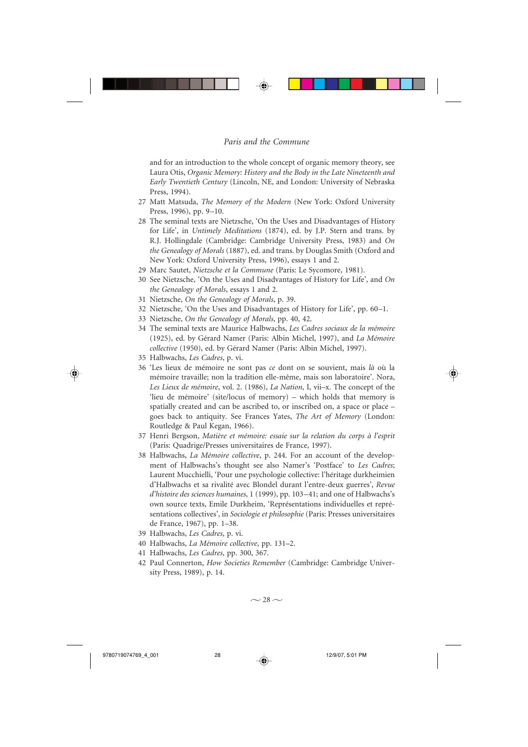

and for an introduction to the whole concept of organic memory theory, see Laura Otis, *Organic Memory: History and the Body in the Late Nineteenth and Early Twentieth Century* (Lincoln, NE, and London: University of Nebraska Press, 1994).

- 27 Matt Matsuda, *The Memory of the Modern* (New York: Oxford University Press, 1996), pp. 9–10.
- 28 The seminal texts are Nietzsche, 'On the Uses and Disadvantages of History for Life', in *Untimely Meditations* (1874), ed. by J.P. Stern and trans. by R.J. Hollingdale (Cambridge: Cambridge University Press, 1983) and *On the Genealogy of Morals* (1887), ed. and trans. by Douglas Smith (Oxford and New York: Oxford University Press, 1996), essays 1 and 2.
- 29 Marc Sautet, *Nietzsche et la Commune* (Paris: Le Sycomore, 1981).
- 30 See Nietzsche, 'On the Uses and Disadvantages of History for Life', and *On the Genealogy of Morals*, essays 1 and 2.
- 31 Nietzsche, *On the Genealogy of Morals*, p. 39.
- 32 Nietzsche, 'On the Uses and Disadvantages of History for Life', pp. 60–1.
- 33 Nietzsche, *On the Genealogy of Morals*, pp. 40, 42.
- 34 The seminal texts are Maurice Halbwachs, *Les Cadres sociaux de la mémoire* (1925), ed. by Gérard Namer (Paris: Albin Michel, 1997), and *La Mémoire collective* (1950), ed. by Gérard Namer (Paris: Albin Michel, 1997).
- 35 Halbwachs, *Les Cadres*, p. vi.
- 36 'Les lieux de mémoire ne sont pas *ce* dont on se souvient, mais *là* où la mémoire travaille; non la tradition elle-même, mais son laboratoire'. Nora, *Les Lieux de mémoire*, vol. 2. (1986), *La Nation*, I, vii–x. The concept of the 'lieu de mémoire' (site/locus of memory) – which holds that memory is spatially created and can be ascribed to, or inscribed on, a space or place – goes back to antiquity. See Frances Yates, *The Art of Memory* (London: Routledge & Paul Kegan, 1966).
- 37 Henri Bergson, *Matière et mémoire: essaie sur la relation du corps à l'esprit* (Paris: Quadrige/Presses universitaires de France, 1997).
- 38 Halbwachs, *La Mémoire collective*, p. 244. For an account of the development of Halbwachs's thought see also Namer's 'Postface' to *Les Cadres*; Laurent Mucchielli, 'Pour une psychologie collective: l'héritage durkheimien d'Halbwachs et sa rivalité avec Blondel durant l'entre-deux guerres', *Revue d'histoire des sciences humaines*, 1 (1999), pp. 103–41; and one of Halbwachs's own source texts, Emile Durkheim, 'Représentations individuelles et représentations collectives', in *Sociologie et philosophie* (Paris: Presses universitaires de France, 1967), pp. 1–38.
- 39 Halbwachs, *Les Cadres*, p. vi.
- 40 Halbwachs, *La Mémoire collective*, pp. 131–2.
- 41 Halbwachs, *Les Cadres*, pp. 300, 367.
- 42 Paul Connerton, *How Societies Remember* (Cambridge: Cambridge University Press, 1989), p. 14.

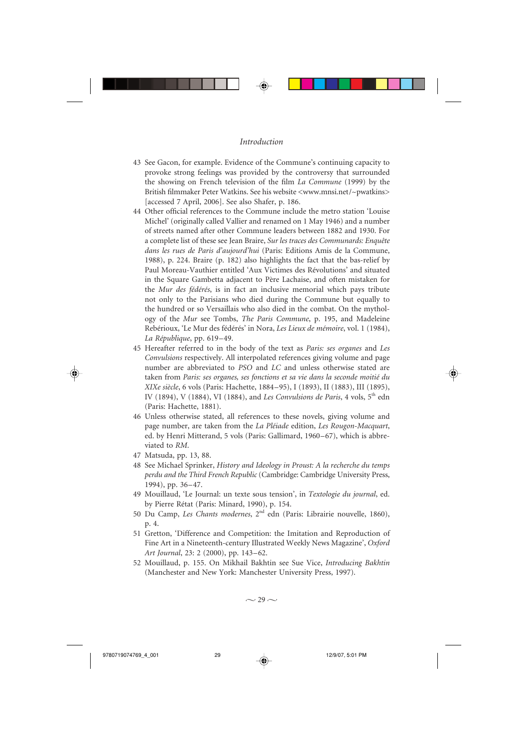

- 43 See Gacon, for example. Evidence of the Commune's continuing capacity to provoke strong feelings was provided by the controversy that surrounded the showing on French television of the film *La Commune* (1999) by the British filmmaker Peter Watkins. See his website <www.mnsi.net/~pwatkins> [accessed 7 April, 2006]. See also Shafer, p. 186.
- 44 Other official references to the Commune include the metro station 'Louise Michel' (originally called Vallier and renamed on 1 May 1946) and a number of streets named after other Commune leaders between 1882 and 1930. For a complete list of these see Jean Braire, *Sur les traces des Communards: Enquête dans les rues de Paris d'aujourd'hui* (Paris: Editions Amis de la Commune, 1988), p. 224. Braire (p. 182) also highlights the fact that the bas-relief by Paul Moreau-Vauthier entitled 'Aux Victimes des Révolutions' and situated in the Square Gambetta adjacent to Père Lachaise, and often mistaken for the *Mur des fédérés*, is in fact an inclusive memorial which pays tribute not only to the Parisians who died during the Commune but equally to the hundred or so Versaillais who also died in the combat. On the mythology of the *Mur* see Tombs, *The Paris Commune*, p. 195, and Madeleine Rebérioux, 'Le Mur des fédérés' in Nora, *Les Lieux de mémoire*, vol. 1 (1984), *La République*, pp. 619–49.
- 45 Hereafter referred to in the body of the text as *Paris: ses organes* and *Les Convulsions* respectively. All interpolated references giving volume and page number are abbreviated to *PSO* and *LC* and unless otherwise stated are taken from *Paris: ses organes, ses fonctions et sa vie dans la seconde moitié du XIXe siècle*, 6 vols (Paris: Hachette, 1884–95), I (1893), II (1883), III (1895), IV (1894), V (1884), VI (1884), and *Les Convulsions de Paris*, 4 vols, 5<sup>th</sup> edn (Paris: Hachette, 1881).
- 46 Unless otherwise stated, all references to these novels, giving volume and page number, are taken from the *La Pléiade* edition, *Les Rougon-Macquart*, ed. by Henri Mitterand, 5 vols (Paris: Gallimard, 1960–67), which is abbreviated to *RM*.
- 47 Matsuda, pp. 13, 88.
- 48 See Michael Sprinker, *History and Ideology in Proust: A la recherche du temps perdu and the Third French Republic* (Cambridge: Cambridge University Press, 1994), pp. 36–47.
- 49 Mouillaud, 'Le Journal: un texte sous tension', in *Textologie du journal*, ed. by Pierre Rétat (Paris: Minard, 1990), p. 154.
- 50 Du Camp, *Les Chants modernes*, 2nd edn (Paris: Librairie nouvelle, 1860), p. 4.
- 51 Gretton, 'Difference and Competition: the Imitation and Reproduction of Fine Art in a Nineteenth-century Illustrated Weekly News Magazine', *Oxford Art Journal*, 23: 2 (2000), pp. 143–62.
- 52 Mouillaud, p. 155. On Mikhail Bakhtin see Sue Vice, *Introducing Bakhtin* (Manchester and New York: Manchester University Press, 1997).

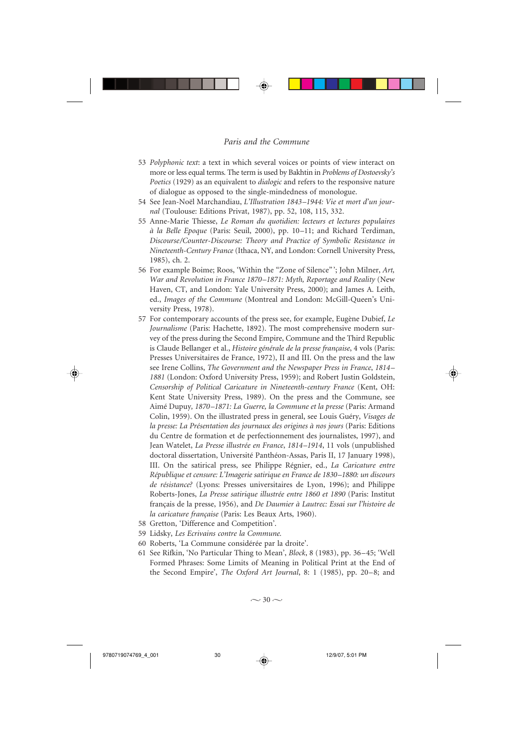

- 53 *Polyphonic text*: a text in which several voices or points of view interact on more or less equal terms. The term is used by Bakhtin in *Problems of Dostoevsky's Poetics* (1929) as an equivalent to *dialogic* and refers to the responsive nature of dialogue as opposed to the single-mindedness of monologue.
- 54 See Jean-Noël Marchandiau, *L'Illustration 1843–1944: Vie et mort d'un journal* (Toulouse: Editions Privat, 1987), pp. 52, 108, 115, 332.
- 55 Anne-Marie Thiesse, *Le Roman du quotidien: lecteurs et lectures populaires à la Belle Epoque* (Paris: Seuil, 2000), pp. 10–11; and Richard Terdiman, *Discourse/Counter-Discourse: Theory and Practice of Symbolic Resistance in Nineteenth-Century France* (Ithaca, NY, and London: Cornell University Press, 1985), ch. 2.
- 56 For example Boime; Roos, 'Within the "Zone of Silence" '; John Milner, *Art, War and Revolution in France 1870–1871: Myth, Reportage and Reality* (New Haven, CT, and London: Yale University Press, 2000); and James A. Leith, ed., *Images of the Commune* (Montreal and London: McGill-Queen's University Press, 1978).
- 57 For contemporary accounts of the press see, for example, Eugène Dubief, *Le Journalisme* (Paris: Hachette, 1892). The most comprehensive modern survey of the press during the Second Empire, Commune and the Third Republic is Claude Bellanger et al., *Histoire générale de la presse française*, 4 vols (Paris: Presses Universitaires de France, 1972), II and III. On the press and the law see Irene Collins, *The Government and the Newspaper Press in France*, *1814– 1881* (London: Oxford University Press, 1959); and Robert Justin Goldstein, *Censorship of Political Caricature in Nineteenth-century France* (Kent, OH: Kent State University Press, 1989). On the press and the Commune, see Aimé Dupuy*, 1870–1871: La Guerre, la Commune et la presse* (Paris: Armand Colin, 1959). On the illustrated press in general, see Louis Guéry, *Visages de* la presse: La Présentation des journaux des origines à nos jours (Paris: Editions du Centre de formation et de perfectionnement des journalistes, 1997), and Jean Watelet, *La Presse illustrée en France*, *1814–1914*, 11 vols (unpublished doctoral dissertation, Université Panthéon-Assas, Paris II, 17 January 1998), III. On the satirical press, see Philippe Régnier, ed., *La Caricature entre République et censure: L'Imagerie satirique en France de 1830–1880: un discours de résistance?* (Lyons: Presses universitaires de Lyon, 1996); and Philippe Roberts-Jones, *La Presse satirique illustrée entre 1860 et 1890* (Paris: Institut français de la presse, 1956), and *De Daumier à Lautrec: Essai sur l'histoire de la caricature française* (Paris: Les Beaux Arts, 1960).
- 58 Gretton, 'Difference and Competition'.
- 59 Lidsky, *Les Ecrivains contre la Commune.*
- 60 Roberts, 'La Commune considérée par la droite'.
- 61 See Rifkin, 'No Particular Thing to Mean', *Block*, 8 (1983), pp. 36–45; 'Well Formed Phrases: Some Limits of Meaning in Political Print at the End of the Second Empire', *The Oxford Art Journal*, 8: 1 (1985), pp. 20–8; and

 $\sim$  30  $\sim$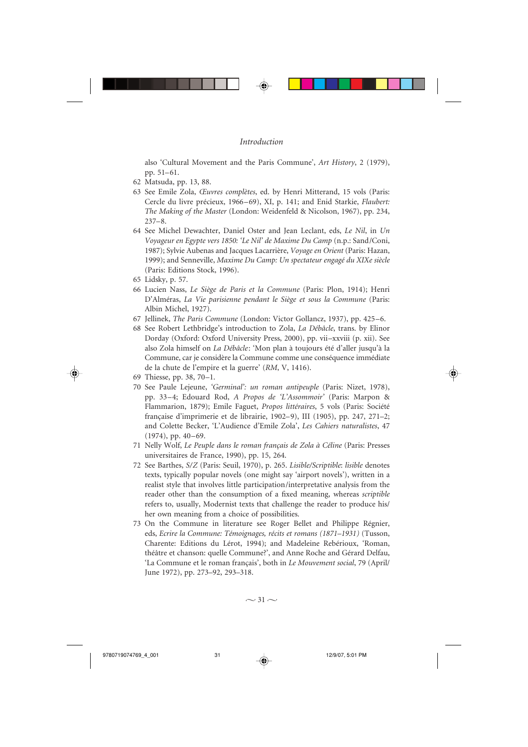

also 'Cultural Movement and the Paris Commune', *Art History*, 2 (1979), pp. 51–61.

- 62 Matsuda, pp. 13, 88.
- 63 See Emile Zola, *Œuvres complètes*, ed. by Henri Mitterand, 15 vols (Paris: Cercle du livre précieux, 1966–69), XI, p. 141; and Enid Starkie, *Flaubert: The Making of the Master* (London: Weidenfeld & Nicolson, 1967), pp. 234, 237–8.
- 64 See Michel Dewachter, Daniel Oster and Jean Leclant, eds, *Le Nil*, in *Un Voyageur en Egypte vers 1850: 'Le Nil' de Maxime Du Camp* (n.p.: Sand/Coni, 1987); Sylvie Aubenas and Jacques Lacarrière, *Voyage en Orient* (Paris: Hazan, 1999); and Senneville, *Maxime Du Camp: Un spectateur engagé du XIXe siècle* (Paris: Editions Stock, 1996).
- 65 Lidsky, p. 57.
- 66 Lucien Nass, *Le Siège de Paris et la Commune* (Paris: Plon, 1914); Henri D'Alméras, *La Vie parisienne pendant le Siège et sous la Commune* (Paris: Albin Michel, 1927).
- 67 Jellinek, *The Paris Commune* (London: Victor Gollancz, 1937), pp. 425–6.
- 68 See Robert Lethbridge's introduction to Zola, *La Débâcle*, trans. by Elinor Dorday (Oxford: Oxford University Press, 2000), pp. vii–xxviii (p. xii). See also Zola himself on *La Débâcle*: 'Mon plan à toujours été d'aller jusqu'à la Commune, car je considère la Commune comme une conséquence immédiate de la chute de l'empire et la guerre' (*RM*, V, 1416).
- 69 Thiesse, pp. 38, 70–1.
- 70 See Paule Lejeune, *'Germinal': un roman antipeuple* (Paris: Nizet, 1978), pp. 33–4; Edouard Rod, *A Propos de 'L'Assommoir'* (Paris: Marpon & Flammarion, 1879); Emile Faguet, *Propos littéraires*, 5 vols (Paris: Société française d'imprimerie et de librairie, 1902–9), III (1905), pp. 247, 271–2; and Colette Becker, 'L'Audience d'Emile Zola', *Les Cahiers naturalistes*, 47 (1974), pp. 40–69.
- 71 Nelly Wolf, *Le Peuple dans le roman français de Zola à Céline* (Paris: Presses universitaires de France, 1990), pp. 15, 264.
- 72 See Barthes, *S/Z* (Paris: Seuil, 1970), p. 265. *Lisible/Scriptible*: *lisible* denotes texts, typically popular novels (one might say 'airport novels'), written in a realist style that involves little participation/interpretative analysis from the reader other than the consumption of a fixed meaning, whereas *scriptible* refers to, usually, Modernist texts that challenge the reader to produce his/ her own meaning from a choice of possibilities.
- 73 On the Commune in literature see Roger Bellet and Philippe Régnier, eds, *Ecrire la Commune: Témoignages, récits et romans (1871–1931)* (Tusson, Charente: Editions du Lérot, 1994); and Madeleine Rebérioux, 'Roman, théâtre et chanson: quelle Commune?', and Anne Roche and Gérard Delfau, 'La Commune et le roman français', both in *Le Mouvement social*, 79 (April/ June 1972), pp. 273–92, 293–318.